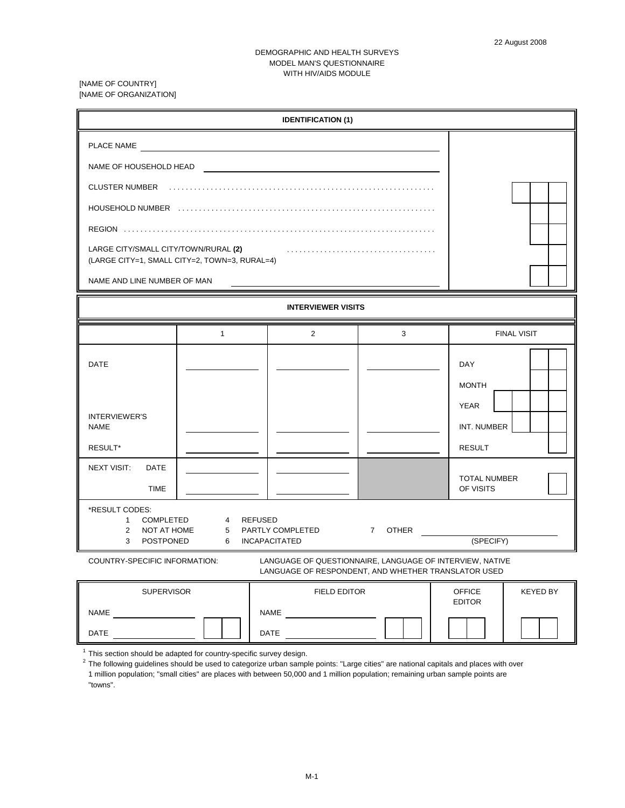#### DEMOGRAPHIC AND HEALTH SURVEYS MODEL MAN'S QUESTIONNAIRE WITH HIV/AIDS MODULE

[NAME OF COUNTRY] [NAME OF ORGANIZATION]

|                                                                                                                                                                                                                                      |                          | <b>IDENTIFICATION (1)</b>                                  |         |                                             |                    |
|--------------------------------------------------------------------------------------------------------------------------------------------------------------------------------------------------------------------------------------|--------------------------|------------------------------------------------------------|---------|---------------------------------------------|--------------------|
| PLACE NAME <b>All and Service Contract Contract Contract Contract Contract Contract Contract Contract Contract Contract Contract Contract Contract Contract Contract Contract Contract Contract Contract Contract Contract Contr</b> |                          |                                                            |         |                                             |                    |
| NAME OF HOUSEHOLD HEAD                                                                                                                                                                                                               |                          |                                                            |         |                                             |                    |
|                                                                                                                                                                                                                                      |                          | CLUSTER NUMBER FILE ELECTRIC CONTROL CLUSTER NUMBER        |         |                                             |                    |
|                                                                                                                                                                                                                                      |                          |                                                            |         |                                             |                    |
|                                                                                                                                                                                                                                      |                          |                                                            |         |                                             |                    |
| LARGE CITY/SMALL CITY/TOWN/RURAL (2)<br>(LARGE CITY=1, SMALL CITY=2, TOWN=3, RURAL=4)                                                                                                                                                |                          |                                                            |         |                                             |                    |
| NAME AND LINE NUMBER OF MAN                                                                                                                                                                                                          |                          |                                                            |         |                                             |                    |
|                                                                                                                                                                                                                                      |                          | <b>INTERVIEWER VISITS</b>                                  |         |                                             |                    |
|                                                                                                                                                                                                                                      | $\mathbf{1}$             | 2                                                          | 3       |                                             | <b>FINAL VISIT</b> |
| <b>DATE</b>                                                                                                                                                                                                                          |                          |                                                            |         | <b>DAY</b><br><b>MONTH</b>                  |                    |
| <b>INTERVIEWER'S</b><br><b>NAME</b><br>RESULT*                                                                                                                                                                                       |                          |                                                            |         | <b>YEAR</b><br>INT. NUMBER<br><b>RESULT</b> |                    |
| <b>NEXT VISIT:</b><br>DATE<br><b>TIME</b>                                                                                                                                                                                            |                          |                                                            |         | <b>TOTAL NUMBER</b><br>OF VISITS            |                    |
| *RESULT CODES:<br><b>COMPLETED</b><br>$1 \quad$<br>2<br>NOT AT HOME<br>3<br>POSTPONED                                                                                                                                                | $\overline{4}$<br>5<br>6 | <b>REFUSED</b><br>PARTLY COMPLETED<br><b>INCAPACITATED</b> | 7 OTHER | (SPECIFY)                                   |                    |
| COUNTRY-SPECIFIC INFORMATION:<br>LANGUAGE OF QUESTIONNAIRE, LANGUAGE OF INTERVIEW, NATIVE<br>LANGUAGE OF RESPONDENT, AND WHETHER TRANSLATOR USED                                                                                     |                          |                                                            |         |                                             |                    |
| <b>SUPERVISOR</b>                                                                                                                                                                                                                    |                          | FIELD EDITOR                                               |         | <b>OFFICE</b>                               | <b>KEYED BY</b>    |
| NAME<br>DATE                                                                                                                                                                                                                         |                          | NAME<br>DATE                                               |         | <b>EDITOR</b>                               |                    |

 $1$  This section should be adapted for country-specific survey design.

 $^2$  The following guidelines should be used to categorize urban sample points: "Large cities" are national capitals and places with over 1 million population; "small cities" are places with between 50,000 and 1 million population; remaining urban sample points are "towns".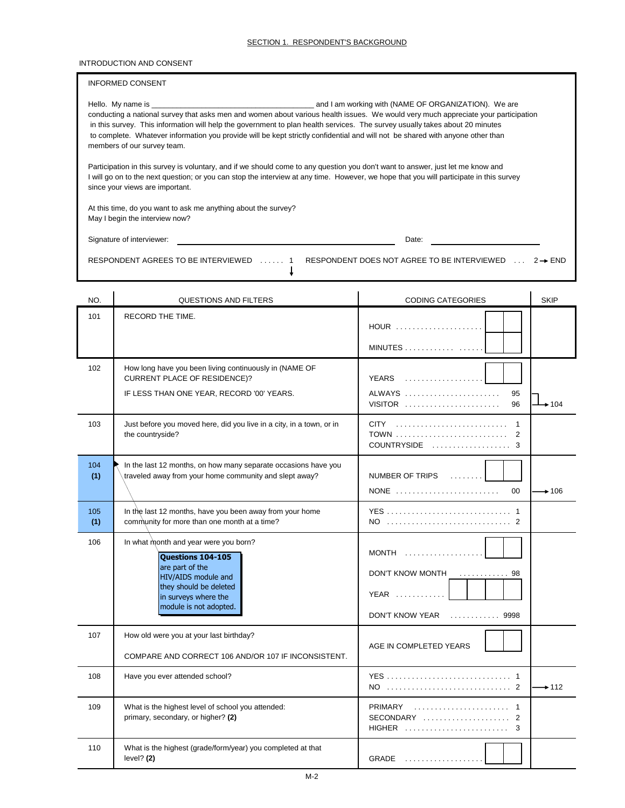#### SECTION 1. RESPONDENT'S BACKGROUND

#### INTRODUCTION AND CONSENT

#### INFORMED CONSENT

| Hello. My name is                                                                                                                  | and I am working with (NAME OF ORGANIZATION). We are |
|------------------------------------------------------------------------------------------------------------------------------------|------------------------------------------------------|
| conducting a national survey that asks men and women about various health issues. We would very much appreciate your participation |                                                      |
| in this survey. This information will help the government to plan health services. The survey usually takes about 20 minutes       |                                                      |
| to complete. Whatever information you provide will be kept strictly confidential and will not be shared with anyone other than     |                                                      |
| members of our survey team.                                                                                                        |                                                      |

Participation in this survey is voluntary, and if we should come to any question you don't want to answer, just let me know and I will go on to the next question; or you can stop the interview at any time. However, we hope that you will participate in this survey since your views are important.

At this time, do you want to ask me anything about the survey? May I begin the interview now?

Signature of interviewer: Date:

RESPONDENT AGREES TO BE INTERVIEWED ...... 1 RESPONDENT DOES NOT AGREE TO BE INTERVIEWED ... 2→ END  $\downarrow$ 

| NO.        | <b>QUESTIONS AND FILTERS</b>                                                                                                                                                     | <b>CODING CATEGORIES</b>                                                                        | <b>SKIP</b>       |
|------------|----------------------------------------------------------------------------------------------------------------------------------------------------------------------------------|-------------------------------------------------------------------------------------------------|-------------------|
| 101        | RECORD THE TIME.                                                                                                                                                                 | $HOUR$<br>$MINUTES$                                                                             |                   |
| 102        | How long have you been living continuously in (NAME OF<br><b>CURRENT PLACE OF RESIDENCE)?</b><br>IF LESS THAN ONE YEAR, RECORD '00' YEARS.                                       | YEARS<br>ALWAYS<br>95<br>96                                                                     | $+104$            |
| 103        | Just before you moved here, did you live in a city, in a town, or in<br>the countryside?                                                                                         | $CITY$<br>$\overline{1}$<br>2<br>COUNTRYSIDE  3                                                 |                   |
| 104<br>(1) | In the last 12 months, on how many separate occasions have you<br>traveled away from your home community and slept away?                                                         | NUMBER OF TRIPS<br>1.1.1.1.1.1<br>NONE $\ldots \ldots \ldots \ldots \ldots \ldots \ldots$<br>00 | $+106$            |
| 105<br>(1) | In the last 12 months, have you been away from your home<br>community for more than one month at a time?                                                                         | YES  1                                                                                          |                   |
| 106        | In what month and year were you born?<br>Questions 104-105<br>are part of the<br>HIV/AIDS module and<br>they should be deleted<br>in surveys where the<br>module is not adopted. | MONTH<br>DON'T KNOW MONTH  98<br><b>YEAR</b><br>DON'T KNOW YEAR  9998                           |                   |
| 107        | How old were you at your last birthday?<br>COMPARE AND CORRECT 106 AND/OR 107 IF INCONSISTENT.                                                                                   | AGE IN COMPLETED YEARS                                                                          |                   |
| 108        | Have you ever attended school?                                                                                                                                                   | YES  1                                                                                          | $\rightarrow$ 112 |
| 109        | What is the highest level of school you attended:<br>primary, secondary, or higher? (2)                                                                                          | <b>PRIMARY</b><br>$SECONDARY$ 2<br>$HIGHER$<br>3                                                |                   |
| 110        | What is the highest (grade/form/year) you completed at that<br>level? $(2)$                                                                                                      |                                                                                                 |                   |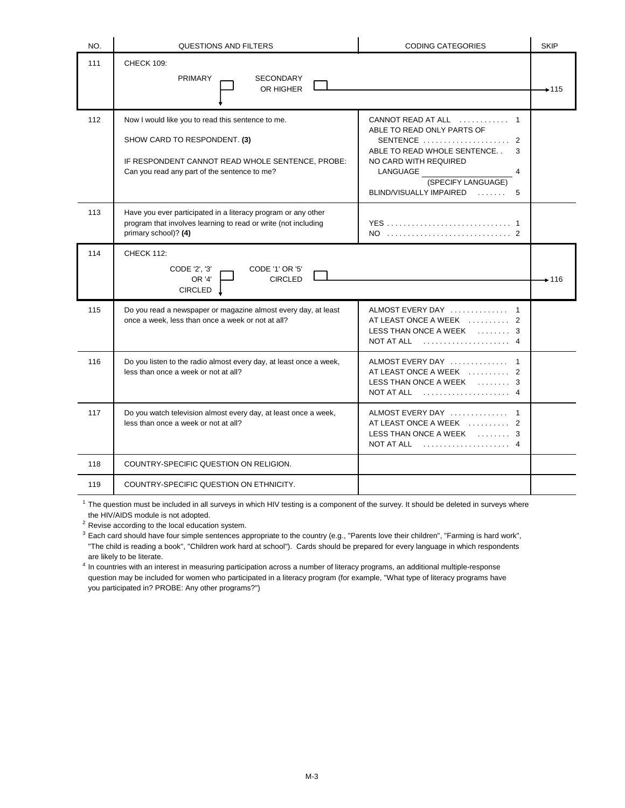| NO. | <b>QUESTIONS AND FILTERS</b>                                                                                                                                                          | <b>CODING CATEGORIES</b>                                                                                                                                                                               | <b>SKIP</b> |
|-----|---------------------------------------------------------------------------------------------------------------------------------------------------------------------------------------|--------------------------------------------------------------------------------------------------------------------------------------------------------------------------------------------------------|-------------|
| 111 | <b>CHECK 109:</b><br><b>PRIMARY</b><br><b>SECONDARY</b><br>OR HIGHER                                                                                                                  |                                                                                                                                                                                                        | $+115$      |
| 112 | Now I would like you to read this sentence to me.<br>SHOW CARD TO RESPONDENT. (3)<br>IF RESPONDENT CANNOT READ WHOLE SENTENCE, PROBE:<br>Can you read any part of the sentence to me? | CANNOT READ AT ALL  1<br>ABLE TO READ ONLY PARTS OF<br>SENTENCE  2<br>ABLE TO READ WHOLE SENTENCE<br>3<br>NO CARD WITH REQUIRED<br>LANGUAGE<br>4<br>(SPECIFY LANGUAGE)<br>BLIND/VISUALLY IMPAIRED<br>5 |             |
| 113 | Have you ever participated in a literacy program or any other<br>program that involves learning to read or write (not including<br>primary school)? (4)                               | YES  1                                                                                                                                                                                                 |             |
| 114 | <b>CHECK 112:</b><br>CODE '2', '3'<br>CODE '1' OR '5'<br>OR '4'<br><b>CIRCLED</b><br>CIRCLED 1                                                                                        |                                                                                                                                                                                                        | $+116$      |
| 115 | Do you read a newspaper or magazine almost every day, at least<br>once a week, less than once a week or not at all?                                                                   | ALMOST EVERY DAY  1<br>AT LEAST ONCE A WEEK  2<br>LESS THAN ONCE A WEEK  3<br>NOT AT ALL $\ldots, \ldots, \ldots, \ldots, \ldots, 4$                                                                   |             |
| 116 | Do you listen to the radio almost every day, at least once a week,<br>less than once a week or not at all?                                                                            | ALMOST EVERY DAY  1<br>AT LEAST ONCE A WEEK  2<br>LESS THAN ONCE A WEEK  3<br>NOT AT ALL $\ldots, \ldots, \ldots, \ldots, \ldots, 4$                                                                   |             |
| 117 | Do you watch television almost every day, at least once a week,<br>less than once a week or not at all?                                                                               | ALMOST EVERY DAY<br>$\mathbf{1}$<br>AT LEAST ONCE A WEEK  2<br>LESS THAN ONCE A WEEK  3<br>$NOT$ AT ALL $\ldots \ldots \ldots \ldots \ldots$                                                           |             |
| 118 | COUNTRY-SPECIFIC QUESTION ON RELIGION.                                                                                                                                                |                                                                                                                                                                                                        |             |
| 119 | COUNTRY-SPECIFIC QUESTION ON ETHNICITY.                                                                                                                                               |                                                                                                                                                                                                        |             |

 $1$  The question must be included in all surveys in which HIV testing is a component of the survey. It should be deleted in surveys where the HIV/AIDS module is not adopted.

<sup>2</sup> Revise according to the local education system.

<sup>3</sup> Each card should have four simple sentences appropriate to the country (e.g., "Parents love their children", "Farming is hard work", "The child is reading a book", "Children work hard at school"). Cards should be prepared for every language in which respondents are likely to be literate.

<sup>4</sup> In countries with an interest in measuring participation across a number of literacy programs, an additional multiple-response question may be included for women who participated in a literacy program (for example, "What type of literacy programs have you participated in? PROBE: Any other programs?")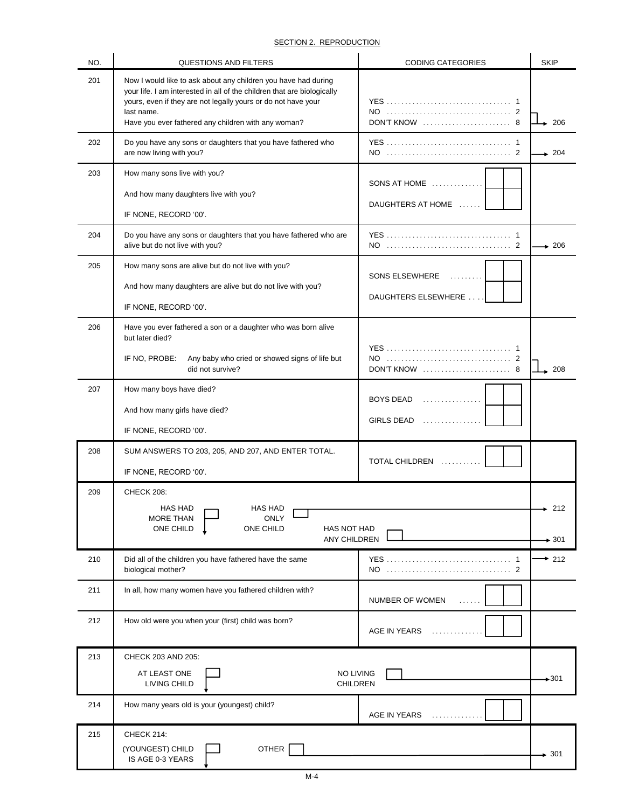## SECTION 2. REPRODUCTION

| NO. | QUESTIONS AND FILTERS                                                                                                                                                                                                    | <b>CODING CATEGORIES</b>                   | <b>SKIP</b>               |
|-----|--------------------------------------------------------------------------------------------------------------------------------------------------------------------------------------------------------------------------|--------------------------------------------|---------------------------|
| 201 | Now I would like to ask about any children you have had during<br>your life. I am interested in all of the children that are biologically<br>yours, even if they are not legally yours or do not have your<br>last name. |                                            |                           |
|     | Have you ever fathered any children with any woman?                                                                                                                                                                      |                                            | 206                       |
| 202 | Do you have any sons or daughters that you have fathered who<br>are now living with you?                                                                                                                                 |                                            | $+ 204$                   |
| 203 | How many sons live with you?                                                                                                                                                                                             | SONS AT HOME                               |                           |
|     | And how many daughters live with you?                                                                                                                                                                                    | DAUGHTERS AT HOME                          |                           |
|     | IF NONE, RECORD '00'.                                                                                                                                                                                                    |                                            |                           |
| 204 | Do you have any sons or daughters that you have fathered who are<br>alive but do not live with you?                                                                                                                      |                                            | $+206$                    |
| 205 | How many sons are alive but do not live with you?                                                                                                                                                                        | SONS ELSEWHERE                             |                           |
|     | And how many daughters are alive but do not live with you?                                                                                                                                                               |                                            |                           |
|     | IF NONE, RECORD '00'.                                                                                                                                                                                                    | DAUGHTERS ELSEWHERE                        |                           |
| 206 | Have you ever fathered a son or a daughter who was born alive<br>but later died?                                                                                                                                         |                                            |                           |
|     |                                                                                                                                                                                                                          |                                            |                           |
|     | IF NO, PROBE:<br>Any baby who cried or showed signs of life but<br>did not survive?                                                                                                                                      |                                            | 208                       |
| 207 | How many boys have died?                                                                                                                                                                                                 | BOYS DEAD $\ldots, \ldots, \ldots, \ldots$ |                           |
|     | And how many girls have died?                                                                                                                                                                                            |                                            |                           |
|     | IF NONE, RECORD '00'.                                                                                                                                                                                                    | GIRLS DEAD                                 |                           |
| 208 | SUM ANSWERS TO 203, 205, AND 207, AND ENTER TOTAL.                                                                                                                                                                       | TOTAL CHILDREN                             |                           |
|     | IF NONE. RECORD '00'.                                                                                                                                                                                                    |                                            |                           |
| 209 | <b>CHECK 208:</b>                                                                                                                                                                                                        |                                            |                           |
|     | HAS HAD<br><b>HAS HAD</b><br><b>MORE THAN</b><br><b>ONLY</b>                                                                                                                                                             |                                            | 212                       |
|     | ONE CHILD<br>ONE CHILD<br>HAS NOT HAD                                                                                                                                                                                    |                                            |                           |
|     | ANY CHILDREN                                                                                                                                                                                                             |                                            | $\div 301$                |
| 210 | Did all of the children you have fathered have the same<br>biological mother?                                                                                                                                            |                                            | $* 212$                   |
| 211 | In all, how many women have you fathered children with?                                                                                                                                                                  | NUMBER OF WOMEN                            |                           |
| 212 | How old were you when your (first) child was born?                                                                                                                                                                       | AGE IN YEARS<br>.                          |                           |
| 213 | CHECK 203 AND 205:                                                                                                                                                                                                       |                                            |                           |
|     | AT LEAST ONE<br><b>NO LIVING</b><br>LIVING CHILD<br><b>CHILDREN</b>                                                                                                                                                      |                                            | $*301$                    |
| 214 | How many years old is your (youngest) child?                                                                                                                                                                             | <b>AGE IN YEARS</b>                        |                           |
| 215 | <b>CHECK 214:</b>                                                                                                                                                                                                        |                                            |                           |
|     | (YOUNGEST) CHILD<br><b>OTHER</b><br>IS AGE 0-3 YEARS                                                                                                                                                                     |                                            | $\blacktriangleright$ 301 |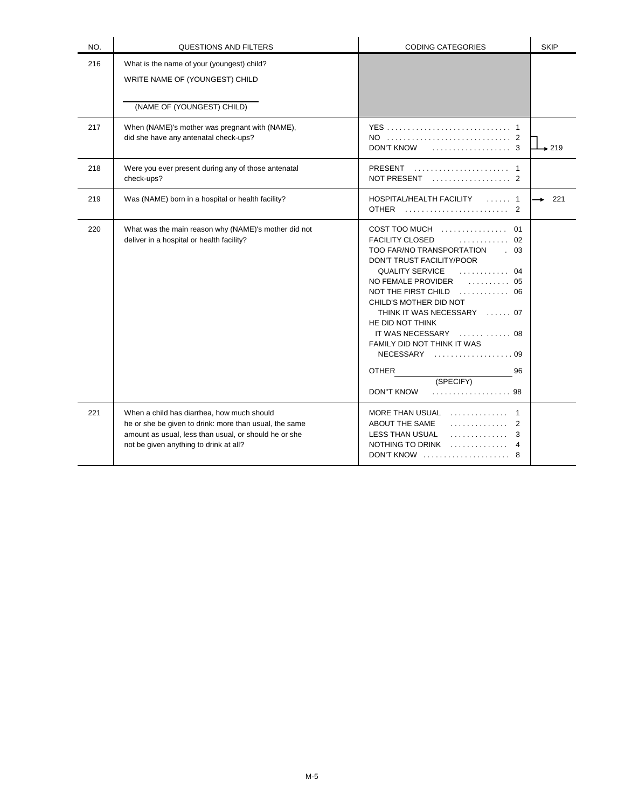| NO. | <b>QUESTIONS AND FILTERS</b>                                                                                                                                                                            | <b>CODING CATEGORIES</b>                                                                                                                                                                                                                                                                                                                                                                                                                            | <b>SKIP</b> |
|-----|---------------------------------------------------------------------------------------------------------------------------------------------------------------------------------------------------------|-----------------------------------------------------------------------------------------------------------------------------------------------------------------------------------------------------------------------------------------------------------------------------------------------------------------------------------------------------------------------------------------------------------------------------------------------------|-------------|
| 216 | What is the name of your (youngest) child?<br>WRITE NAME OF (YOUNGEST) CHILD<br>(NAME OF (YOUNGEST) CHILD)                                                                                              |                                                                                                                                                                                                                                                                                                                                                                                                                                                     |             |
| 217 | When (NAME)'s mother was pregnant with (NAME),<br>did she have any antenatal check-ups?                                                                                                                 | YES  1<br><b>DON'T KNOW</b><br>. 3                                                                                                                                                                                                                                                                                                                                                                                                                  | $\div 219$  |
| 218 | Were you ever present during any of those antenatal<br>check-ups?                                                                                                                                       | NOT PRESENT $\ldots \ldots \ldots \ldots \ldots$ 2                                                                                                                                                                                                                                                                                                                                                                                                  |             |
| 219 | Was (NAME) born in a hospital or health facility?                                                                                                                                                       | HOSPITAL/HEALTH FACILITY  1<br><b>OTHER</b>                                                                                                                                                                                                                                                                                                                                                                                                         | 221         |
| 220 | What was the main reason why (NAME)'s mother did not<br>deliver in a hospital or health facility?                                                                                                       | $COST$ TOO MUCH $\ldots \ldots \ldots \ldots$<br>O1<br><b>FACILITY CLOSED</b><br>.<br>02<br>TOO FAR/NO TRANSPORTATION<br>$\sim 03$<br>DON'T TRUST FACILITY/POOR<br>. 04<br><b>QUALITY SERVICE</b><br>NO FEMALE PROVIDER<br>05<br>NOT THE FIRST CHILD  06<br>CHILD'S MOTHER DID NOT<br>THINK IT WAS NECESSARY  07<br>HE DID NOT THINK<br>FAMILY DID NOT THINK IT WAS<br>NECESSARY 09<br><b>OTHER</b><br>96<br>(SPECIFY)<br>. 98<br><b>DON"T KNOW</b> |             |
| 221 | When a child has diarrhea, how much should<br>he or she be given to drink: more than usual, the same<br>amount as usual, less than usual, or should he or she<br>not be given anything to drink at all? | MORE THAN USUAL  1<br>.<br>ABOUT THE SAME<br>$\mathfrak{p}$<br>LESS THAN USUAL<br>.<br>3<br>.<br>NOTHING TO DRINK<br>4<br>$DON'T$ KNOW $\ldots \ldots \ldots \ldots \ldots$<br>8                                                                                                                                                                                                                                                                    |             |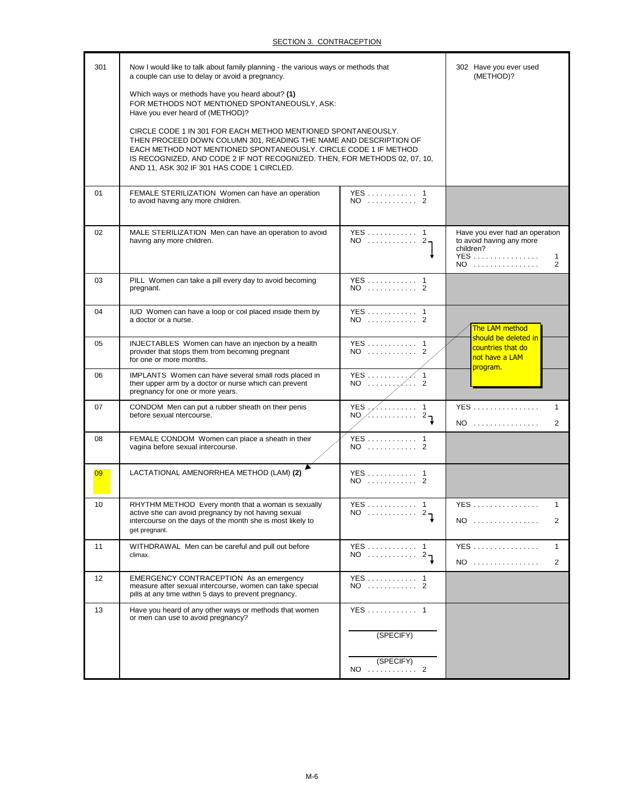| 301 | Now I would like to talk about family planning - the various ways or methods that<br>a couple can use to delay or avoid a pregnancy.                                                                                                                                                                                               | 302 Have you ever used<br>(METHOD)?                |                                                                                                         |
|-----|------------------------------------------------------------------------------------------------------------------------------------------------------------------------------------------------------------------------------------------------------------------------------------------------------------------------------------|----------------------------------------------------|---------------------------------------------------------------------------------------------------------|
|     | Which ways or methods have you heard about? (1)<br>FOR METHODS NOT MENTIONED SPONTANEOUSLY, ASK:<br>Have you ever heard of (METHOD)?                                                                                                                                                                                               |                                                    |                                                                                                         |
|     | CIRCLE CODE 1 IN 301 FOR EACH METHOD MENTIONED SPONTANEOUSLY.<br>THEN PROCEED DOWN COLUMN 301, READING THE NAME AND DESCRIPTION OF<br>EACH METHOD NOT MENTIONED SPONTANEOUSLY. CIRCLE CODE 1 IF METHOD<br>IS RECOGNIZED, AND CODE 2 IF NOT RECOGNIZED. THEN, FOR METHODS 02, 07, 10,<br>AND 11, ASK 302 IF 301 HAS CODE 1 CIRCLED. |                                                    |                                                                                                         |
| 01  | FEMALE STERILIZATION Women can have an operation<br>to avoid having any more children.                                                                                                                                                                                                                                             | YES 1<br>NO  2                                     |                                                                                                         |
| 02  | MALE STERILIZATION Men can have an operation to avoid<br>having any more children.                                                                                                                                                                                                                                                 | YES 1<br>$NO$ $2\pi$                               | Have you ever had an operation<br>to avoid having any more<br>children?<br><b>YES</b><br>1<br>$NO$<br>2 |
| 03  | PILL Women can take a pill every day to avoid becoming<br>pregnant.                                                                                                                                                                                                                                                                | YES 1<br>$NO$ 2                                    |                                                                                                         |
| 04  | IUD Women can have a loop or coil placed inside them by<br>a doctor or a nurse.                                                                                                                                                                                                                                                    | YES 1                                              | The LAM method                                                                                          |
| 05  | INJECTABLES Women can have an injection by a health<br>provider that stops them from becoming pregnant<br>for one or more months.                                                                                                                                                                                                  | YES 1                                              | should be deleted in<br>countries that do<br>not have a LAM<br>program.                                 |
| 06  | IMPLANTS Women can have several small rods placed in<br>their upper arm by a doctor or nurse which can prevent<br>pregnancy for one or more years.                                                                                                                                                                                 | YES $\angle$ 1                                     |                                                                                                         |
| 07  | CONDOM Men can put a rubber sheath on their penis<br>before sexual ntercourse.                                                                                                                                                                                                                                                     | $NO \times \ldots \ldots \ldots$<br>2 <sub>7</sub> | <b>YES</b><br>1<br>NO<br>2                                                                              |
| 08  | FEMALE CONDOM Women can place a sheath in their<br>vagina before sexual intercourse.                                                                                                                                                                                                                                               | YES  1<br>NO  2                                    |                                                                                                         |
| 09  | LACTATIONAL AMENORRHEA METHOD (LAM) (2)                                                                                                                                                                                                                                                                                            | YES 1<br>$NO$ 2                                    |                                                                                                         |
| 10  | RHYTHM METHOD Every month that a woman is sexually<br>active she can avoid pregnancy by not having sexual<br>intercourse on the days of the month she is most likely to<br>get pregnant.                                                                                                                                           | YES 1<br>$NO$ $2\pi$                               | <b>YES</b><br>$\mathbf{1}$<br>NO<br>$\mathbf{2}$                                                        |
| 11  | WITHDRAWAL Men can be careful and pull out before<br>climax.                                                                                                                                                                                                                                                                       | YES 1<br>$NO$ $2\pi$                               | $YES$<br>$\mathbf{1}$<br>NO<br>2                                                                        |
| 12  | EMERGENCY CONTRACEPTION As an emergency<br>measure after sexual intercourse, women can take special<br>pills at any time within 5 days to prevent pregnancy.                                                                                                                                                                       | YES 1<br>NO  2                                     |                                                                                                         |
| 13  | Have you heard of any other ways or methods that women<br>or men can use to avoid pregnancy?                                                                                                                                                                                                                                       | YES 1                                              |                                                                                                         |
|     |                                                                                                                                                                                                                                                                                                                                    | (SPECIFY)                                          |                                                                                                         |
|     |                                                                                                                                                                                                                                                                                                                                    | (SPECIFY)<br>NO  2                                 |                                                                                                         |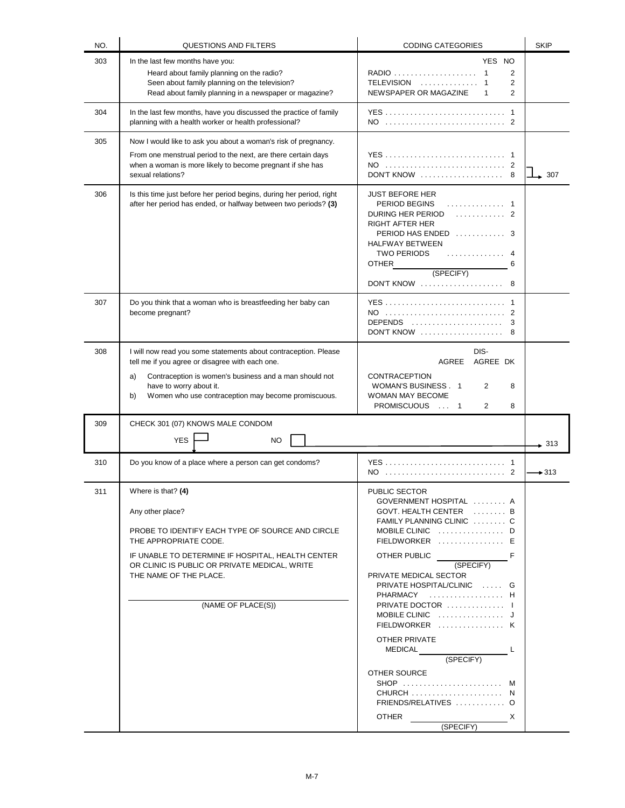| NO. | QUESTIONS AND FILTERS                                                                                                                                                                                                                                                      | <b>CODING CATEGORIES</b>                                                                                                                                                                                                                                                                                                                                                                                                                                                     | <b>SKIP</b>       |
|-----|----------------------------------------------------------------------------------------------------------------------------------------------------------------------------------------------------------------------------------------------------------------------------|------------------------------------------------------------------------------------------------------------------------------------------------------------------------------------------------------------------------------------------------------------------------------------------------------------------------------------------------------------------------------------------------------------------------------------------------------------------------------|-------------------|
| 303 | In the last few months have you:<br>Heard about family planning on the radio?<br>Seen about family planning on the television?<br>Read about family planning in a newspaper or magazine?                                                                                   | YES NO<br>2<br>$\overline{1}$<br>TELEVISION<br>2<br>NEWSPAPER OR MAGAZINE<br>$\overline{2}$<br>1                                                                                                                                                                                                                                                                                                                                                                             |                   |
| 304 | In the last few months, have you discussed the practice of family<br>planning with a health worker or health professional?                                                                                                                                                 |                                                                                                                                                                                                                                                                                                                                                                                                                                                                              |                   |
| 305 | Now I would like to ask you about a woman's risk of pregnancy.<br>From one menstrual period to the next, are there certain days<br>when a woman is more likely to become pregnant if she has<br>sexual relations?                                                          | DON'T KNOW $\ldots \ldots \ldots \ldots \ldots$ 8                                                                                                                                                                                                                                                                                                                                                                                                                            | 307               |
| 306 | Is this time just before her period begins, during her period, right<br>after her period has ended, or halfway between two periods? (3)                                                                                                                                    | <b>JUST BEFORE HER</b><br>PERIOD BEGINS<br>. 2<br>DURING HER PERIOD<br>RIGHT AFTER HER<br>PERIOD HAS ENDED  3<br><b>HALFWAY BETWEEN</b><br><b>TWO PERIODS</b><br>.<br><b>OTHER</b><br>6<br>(SPECIFY)<br>DON'T KNOW<br>8                                                                                                                                                                                                                                                      |                   |
| 307 | Do you think that a woman who is breastfeeding her baby can<br>become pregnant?                                                                                                                                                                                            | $DEPENDS$<br>3<br>DON'T KNOW<br>8                                                                                                                                                                                                                                                                                                                                                                                                                                            |                   |
| 308 | I will now read you some statements about contraception. Please<br>tell me if you agree or disagree with each one.<br>Contraception is women's business and a man should not<br>a)<br>have to worry about it.<br>Women who use contraception may become promiscuous.<br>b) | DIS-<br>AGREE<br>AGREE DK<br><b>CONTRACEPTION</b><br>WOMAN'S BUSINESS . 1<br>2<br>8<br><b>WOMAN MAY BECOME</b><br>PROMISCUOUS  1<br>$\overline{2}$<br>8                                                                                                                                                                                                                                                                                                                      |                   |
| 309 | CHECK 301 (07) KNOWS MALE CONDOM<br><b>YES</b><br>NO                                                                                                                                                                                                                       |                                                                                                                                                                                                                                                                                                                                                                                                                                                                              | - 313             |
| 310 | Do you know of a place where a person can get condoms?                                                                                                                                                                                                                     |                                                                                                                                                                                                                                                                                                                                                                                                                                                                              | $\rightarrow$ 313 |
| 311 | Where is that? (4)<br>Any other place?<br>PROBE TO IDENTIFY EACH TYPE OF SOURCE AND CIRCLE<br>THE APPROPRIATE CODE.<br>IF UNABLE TO DETERMINE IF HOSPITAL, HEALTH CENTER<br>OR CLINIC IS PUBLIC OR PRIVATE MEDICAL, WRITE<br>THE NAME OF THE PLACE.<br>(NAME OF PLACE(S))  | <b>PUBLIC SECTOR</b><br>GOVERNMENT HOSPITAL  A<br>GOVT. HEALTH CENTER  B<br>FAMILY PLANNING CLINIC  C<br>MOBILE CLINIC D<br>$FIELDWORKER$ $E$<br>OTHER PUBLIC<br>(SPECIFY)<br>PRIVATE MEDICAL SECTOR<br>PRIVATE HOSPITAL/CLINIC  G<br>PHARMACY  H<br>PRIVATE DOCTOR  I<br>MOBILE CLINIC  J<br>$FIELDWORKER$ ,,,,,,,,,,,,,,,,,,,<br>OTHER PRIVATE<br><b>MEDICAL</b><br>(SPECIFY)<br>OTHER SOURCE<br>SHOP<br>м<br>N.<br>FRIENDS/RELATIVES  O<br><b>OTHER</b><br>X<br>(SPECIFY) |                   |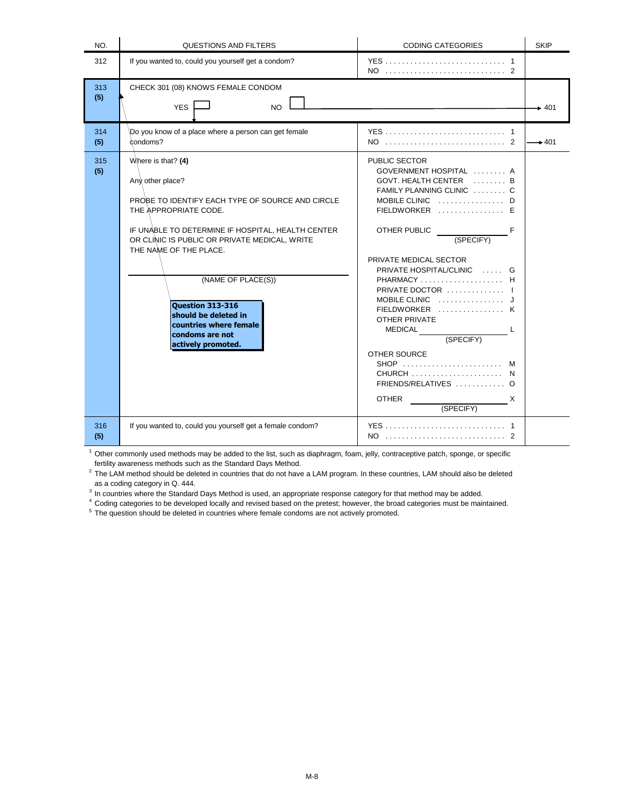| NO.        | <b>QUESTIONS AND FILTERS</b>                                                                                                                                                                                                                                                                                                                                                             | <b>CODING CATEGORIES</b>                                                                                                                                                                                                                                                                                                                                                                                                             | <b>SKIP</b>       |
|------------|------------------------------------------------------------------------------------------------------------------------------------------------------------------------------------------------------------------------------------------------------------------------------------------------------------------------------------------------------------------------------------------|--------------------------------------------------------------------------------------------------------------------------------------------------------------------------------------------------------------------------------------------------------------------------------------------------------------------------------------------------------------------------------------------------------------------------------------|-------------------|
| 312        | If you wanted to, could you yourself get a condom?                                                                                                                                                                                                                                                                                                                                       | NO  2                                                                                                                                                                                                                                                                                                                                                                                                                                |                   |
| 313<br>(5) | CHECK 301 (08) KNOWS FEMALE CONDOM<br><b>YES</b><br><b>NO</b>                                                                                                                                                                                                                                                                                                                            |                                                                                                                                                                                                                                                                                                                                                                                                                                      | $+401$            |
| 314<br>(5) | Do you know of a place where a person can get female<br>condoms?                                                                                                                                                                                                                                                                                                                         |                                                                                                                                                                                                                                                                                                                                                                                                                                      | $\rightarrow$ 401 |
| 315<br>(5) | Where is that? (4)<br>Any other place?<br>PROBE TO IDENTIFY EACH TYPE OF SOURCE AND CIRCLE<br>THE APPROPRIATE CODE.<br>IF UNABLE TO DETERMINE IF HOSPITAL, HEALTH CENTER<br>OR CLINIC IS PUBLIC OR PRIVATE MEDICAL, WRITE<br>THE NAME OF THE PLACE.<br>(NAME OF PLACE(S))<br>Question 313-316<br>should be deleted in<br>countries where female<br>condoms are not<br>actively promoted. | <b>PUBLIC SECTOR</b><br>GOVERNMENT HOSPITAL  A<br>GOVT. HEALTH CENTER  B<br>FAMILY PLANNING CLINIC  C<br>MOBILE CLINIC  D<br>FIELDWORKER  E<br>OTHER PUBLIC<br>(SPECIFY)<br>PRIVATE MEDICAL SECTOR<br>PRIVATE HOSPITAL/CLINIC<br>G<br>PHARMACY  H<br>PRIVATE DOCTOR  I<br>FIELDWORKER  K<br>OTHER PRIVATE<br><b>MEDICAL</b><br>(SPECIFY)<br>OTHER SOURCE<br>SHOP<br>м<br>N<br>FRIENDS/RELATIVES  O<br><b>OTHER</b><br>X<br>(SPECIFY) |                   |
| 316<br>(5) | If you wanted to, could you yourself get a female condom?                                                                                                                                                                                                                                                                                                                                | YES  1                                                                                                                                                                                                                                                                                                                                                                                                                               |                   |

 $1$  Other commonly used methods may be added to the list, such as diaphragm, foam, jelly, contraceptive patch, sponge, or specific fertility awareness methods such as the Standard Days Method.

 $^2$  The LAM method should be deleted in countries that do not have a LAM program. In these countries, LAM should also be deleted as a coding category in Q. 444.

 $3$  In countries where the Standard Days Method is used, an appropriate response category for that method may be added.

<sup>4</sup> Coding categories to be developed locally and revised based on the pretest; however, the broad categories must be maintained.

 $5$  The question should be deleted in countries where female condoms are not actively promoted.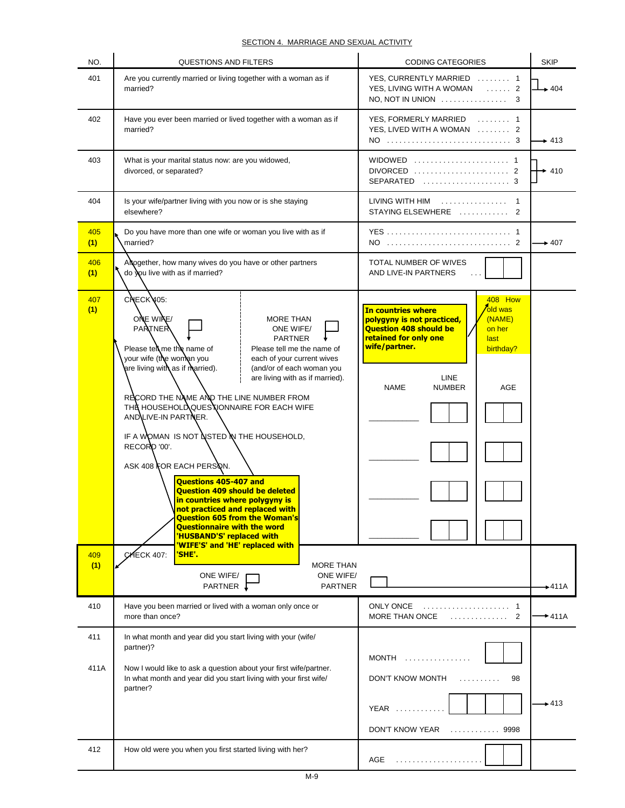#### SECTION 4. MARRIAGE AND SEXUAL ACTIVITY

| NO.        | <b>QUESTIONS AND FILTERS</b>                                                                                                                                                                                                                                                                                                                                                                                                                                                                                                                                                                                                                                                                                                                                                                                         | <b>CODING CATEGORIES</b>                                                                                                                                                                                                                                       | <b>SKIP</b>              |
|------------|----------------------------------------------------------------------------------------------------------------------------------------------------------------------------------------------------------------------------------------------------------------------------------------------------------------------------------------------------------------------------------------------------------------------------------------------------------------------------------------------------------------------------------------------------------------------------------------------------------------------------------------------------------------------------------------------------------------------------------------------------------------------------------------------------------------------|----------------------------------------------------------------------------------------------------------------------------------------------------------------------------------------------------------------------------------------------------------------|--------------------------|
| 401        | Are you currently married or living together with a woman as if<br>married?                                                                                                                                                                                                                                                                                                                                                                                                                                                                                                                                                                                                                                                                                                                                          | YES, CURRENTLY MARRIED  1<br>YES, LIVING WITH A WOMAN  2<br>NO, NOT IN UNION $\ldots \ldots \ldots \ldots$<br>3                                                                                                                                                | $\rightarrow$ 404        |
| 402        | Have you ever been married or lived together with a woman as if<br>married?                                                                                                                                                                                                                                                                                                                                                                                                                                                                                                                                                                                                                                                                                                                                          | YES, FORMERLY MARRIED  1<br>YES, LIVED WITH A WOMAN  2                                                                                                                                                                                                         | $\div 413$               |
| 403        | What is your marital status now: are you widowed,<br>divorced, or separated?                                                                                                                                                                                                                                                                                                                                                                                                                                                                                                                                                                                                                                                                                                                                         | WIDOWED  1<br>DIVORCED  2<br>SEPARATED  3                                                                                                                                                                                                                      | 410                      |
| 404        | Is your wife/partner living with you now or is she staying<br>elsewhere?                                                                                                                                                                                                                                                                                                                                                                                                                                                                                                                                                                                                                                                                                                                                             | LIVING WITH HIM<br>1<br>STAYING ELSEWHERE<br>2                                                                                                                                                                                                                 |                          |
| 405<br>(1) | Do you have more than one wife or woman you live with as if<br>married?                                                                                                                                                                                                                                                                                                                                                                                                                                                                                                                                                                                                                                                                                                                                              | YES  1                                                                                                                                                                                                                                                         | $\rightarrow$ 407        |
| 406<br>(1) | Altogether, how many wives do you have or other partners<br>do you live with as if married?                                                                                                                                                                                                                                                                                                                                                                                                                                                                                                                                                                                                                                                                                                                          | TOTAL NUMBER OF WIVES<br>AND LIVE-IN PARTNERS                                                                                                                                                                                                                  |                          |
| 407<br>(1) | CNECK 405:<br>ONE WIRE/<br><b>MORE THAN</b><br><b>PARTNER</b><br>ONE WIFE/<br><b>PARTNER</b><br>Please tell me the name of<br>Please tell me the name of<br>your wife (the woman you<br>each of your current wives<br>are living with as if married).<br>(and/or of each woman you<br>are living with as if married).<br>RECORD THE NAME AND THE LINE NUMBER FROM<br>THE HOUSEHOLD QUESTIONNAIRE FOR EACH WIFE<br>AND LIVE-IN PARTNER.<br>IF A WOMAN IS NOT USTED IN THE HOUSEHOLD,<br>RECORD '00'.<br>ASK 408 FOR EACH PERSON.<br>Questions 405-407 and<br><b>Question 409 should be deleted</b><br>in countries where polygyny is<br>not practiced and replaced with<br><b>Question 605 from the Woman's</b><br><b>Questionnaire with the word</b><br>'HUSBAND'S' replaced with<br>'WIFE'S' and 'HE' replaced with | <b>408 How</b><br>old was<br>In countries where<br>polygyny is not practiced,<br>(NAME)<br><b>Question 408 should be</b><br>on her<br>retained for only one<br>last<br>wife/partner.<br>birthday?<br><b>LINE</b><br><b>NAME</b><br><b>NUMBER</b><br><b>AGE</b> |                          |
| 409<br>(1) | CHECK 407:<br>'SHE'.<br><b>MORE THAN</b><br>ONE WIFE/<br>ONE WIFE/<br>PARTNER $\downarrow$                                                                                                                                                                                                                                                                                                                                                                                                                                                                                                                                                                                                                                                                                                                           |                                                                                                                                                                                                                                                                |                          |
| 410        | <b>PARTNER</b><br>Have you been married or lived with a woman only once or<br>more than once?                                                                                                                                                                                                                                                                                                                                                                                                                                                                                                                                                                                                                                                                                                                        | <b>ONLY ONCE</b><br>1<br>MORE THAN ONCE<br>.<br>2                                                                                                                                                                                                              | $+411A$<br><b>→</b> 411A |
| 411        | In what month and year did you start living with your (wife/                                                                                                                                                                                                                                                                                                                                                                                                                                                                                                                                                                                                                                                                                                                                                         |                                                                                                                                                                                                                                                                |                          |
| 411A       | partner)?<br>Now I would like to ask a question about your first wife/partner.<br>In what month and year did you start living with your first wife/<br>partner?                                                                                                                                                                                                                                                                                                                                                                                                                                                                                                                                                                                                                                                      | DON'T KNOW MONTH<br>98<br>.                                                                                                                                                                                                                                    |                          |
|            |                                                                                                                                                                                                                                                                                                                                                                                                                                                                                                                                                                                                                                                                                                                                                                                                                      | $YEAR$ ,,,,,,,,,,,,,<br>DON'T KNOW YEAR<br>9998                                                                                                                                                                                                                | ►413                     |
| 412        | How old were you when you first started living with her?                                                                                                                                                                                                                                                                                                                                                                                                                                                                                                                                                                                                                                                                                                                                                             | AGE<br>.                                                                                                                                                                                                                                                       |                          |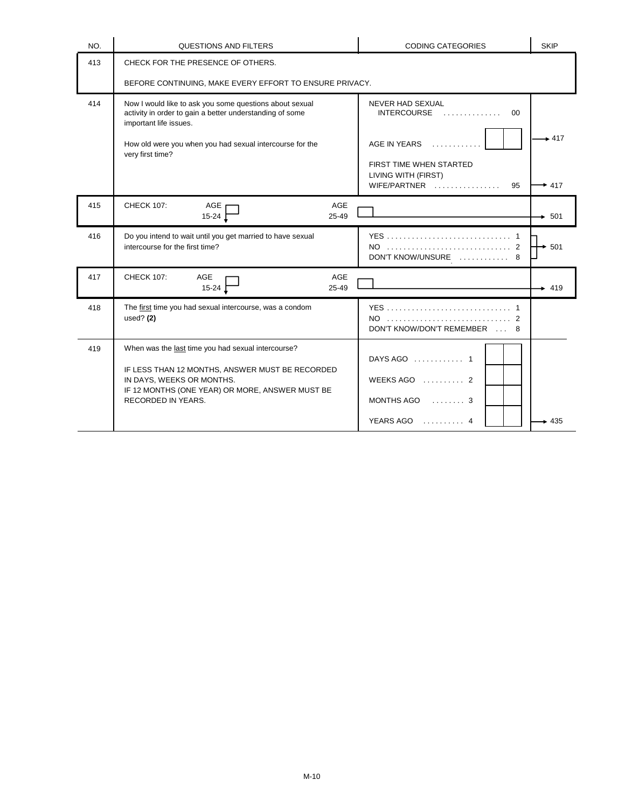| NO. | <b>QUESTIONS AND FILTERS</b>                                                                                                                                                                                                  | <b>CODING CATEGORIES</b>                                                                  | <b>SKIP</b> |
|-----|-------------------------------------------------------------------------------------------------------------------------------------------------------------------------------------------------------------------------------|-------------------------------------------------------------------------------------------|-------------|
| 413 | CHECK FOR THE PRESENCE OF OTHERS.                                                                                                                                                                                             |                                                                                           |             |
|     | BEFORE CONTINUING, MAKE EVERY EFFORT TO ENSURE PRIVACY.                                                                                                                                                                       |                                                                                           |             |
| 414 | Now I would like to ask you some questions about sexual<br>activity in order to gain a better understanding of some<br>important life issues.<br>How old were you when you had sexual intercourse for the<br>very first time? | <b>NEVER HAD SEXUAL</b><br>$INTERCOURSE$<br>00<br>AGE IN YEARS<br>FIRST TIME WHEN STARTED | $\div 417$  |
|     |                                                                                                                                                                                                                               | LIVING WITH (FIRST)<br>WIFE/PARTNER<br>95                                                 | $+417$      |
| 415 | <b>CHECK 107:</b><br>AGE<br>AGE <sub>I</sub><br>$15 - 24$<br>25-49                                                                                                                                                            |                                                                                           | $+ 501$     |
| 416 | Do you intend to wait until you get married to have sexual<br>intercourse for the first time?                                                                                                                                 | DON'T KNOW/UNSURE  8                                                                      | $\div$ 501  |
| 417 | <b>CHECK 107:</b><br>AGE<br>AGE<br>$15-24$<br>25-49                                                                                                                                                                           |                                                                                           | $+ 419$     |
| 418 | The first time you had sexual intercourse, was a condom<br>used? $(2)$                                                                                                                                                        | YES  1<br>DON'T KNOW/DON'T REMEMBER  8                                                    |             |
| 419 | When was the last time you had sexual intercourse?<br>IF LESS THAN 12 MONTHS, ANSWER MUST BE RECORDED<br>IN DAYS, WEEKS OR MONTHS.<br>IF 12 MONTHS (ONE YEAR) OR MORE, ANSWER MUST BE<br><b>RECORDED IN YEARS.</b>            | DAYS AGO  1<br>WEEKS AGO  2<br>MONTHS AGO  3<br>YEARS AGO  4                              | - 435       |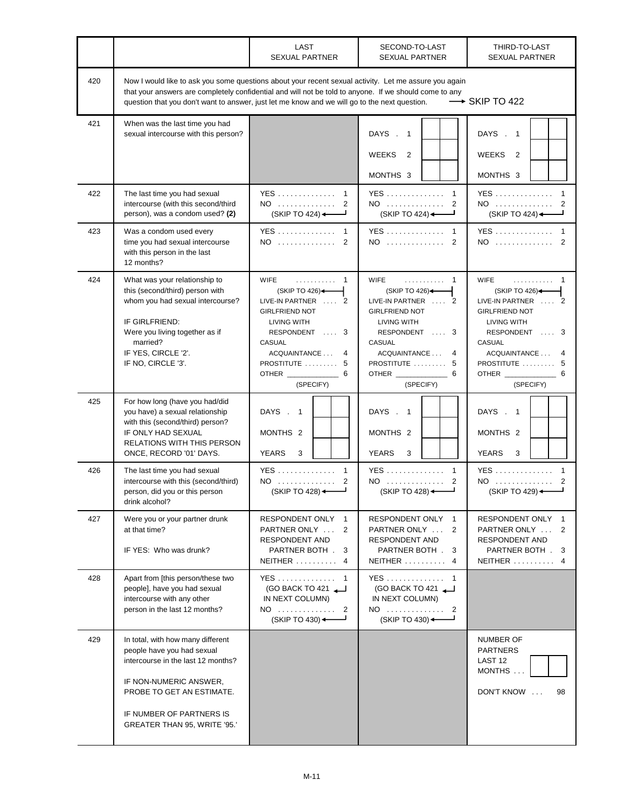|     |                                                                                                                                                                                                                                                                                                                                               | LAST<br><b>SEXUAL PARTNER</b>                                                                                                                                            | SECOND-TO-LAST<br><b>SEXUAL PARTNER</b>                                                                                                                                                             | THIRD-TO-LAST<br><b>SEXUAL PARTNER</b>                                                                                                                                       |  |
|-----|-----------------------------------------------------------------------------------------------------------------------------------------------------------------------------------------------------------------------------------------------------------------------------------------------------------------------------------------------|--------------------------------------------------------------------------------------------------------------------------------------------------------------------------|-----------------------------------------------------------------------------------------------------------------------------------------------------------------------------------------------------|------------------------------------------------------------------------------------------------------------------------------------------------------------------------------|--|
| 420 | Now I would like to ask you some questions about your recent sexual activity. Let me assure you again<br>that your answers are completely confidential and will not be told to anyone. If we should come to any<br>$\rightarrow$ SKIP TO 422<br>question that you don't want to answer, just let me know and we will go to the next question. |                                                                                                                                                                          |                                                                                                                                                                                                     |                                                                                                                                                                              |  |
| 421 | When was the last time you had<br>sexual intercourse with this person?                                                                                                                                                                                                                                                                        |                                                                                                                                                                          | DAYS . 1<br>WEEKS<br>$\overline{2}$<br>MONTHS 3                                                                                                                                                     | DAYS . 1<br>WEEKS <sub>2</sub><br>MONTHS 3                                                                                                                                   |  |
| 422 | The last time you had sexual<br>intercourse (with this second/third<br>person), was a condom used? (2)                                                                                                                                                                                                                                        | YES 1<br>$NO$ 2<br>(SKIP TO 424)                                                                                                                                         | YES 1<br>$NO$<br>2<br>(SKIP TO 424)                                                                                                                                                                 | YES 1<br>$NO$ 2<br>(SKIP TO 424)                                                                                                                                             |  |
| 423 | Was a condom used every<br>time you had sexual intercourse<br>with this person in the last<br>12 months?                                                                                                                                                                                                                                      | YES  1<br>NO  2                                                                                                                                                          | YES 1<br>$NO$ 2                                                                                                                                                                                     | YES  1<br>NO  2                                                                                                                                                              |  |
| 424 | What was your relationship to<br>this (second/third) person with<br>whom you had sexual intercourse?<br>IF GIRLFRIEND:<br>Were you living together as if<br>married?<br>IF YES, CIRCLE '2'.<br>IF NO, CIRCLE '3'.                                                                                                                             | WIFE<br>. 1<br>(SKIPTO 426)<br>LIVE-IN PARTNER  2<br><b>GIRLFRIEND NOT</b><br>LIVING WITH<br>RESPONDENT  3<br>CASUAL<br>ACQUAINTANCE<br>-4<br>PROSTITUTE  5<br>(SPECIFY) | WIFE<br>. 1<br>(SKIP TO 426)<br>LIVE-IN PARTNER  2<br><b>GIRLFRIEND NOT</b><br>LIVING WITH<br>RESPONDENT  3<br>CASUAL<br>ACQUAINTANCE<br>4<br>PROSTITUTE  5<br>OTHER ____________<br>6<br>(SPECIFY) | WIFE<br>. 1<br>(SKIP TO 426)<br>LIVE-IN PARTNER  2<br><b>GIRLFRIEND NOT</b><br><b>LIVING WITH</b><br>RESPONDENT  3<br>CASUAL<br>ACQUAINTANCE 4<br>PROSTITUTE  5<br>(SPECIFY) |  |
| 425 | For how long (have you had/did<br>you have) a sexual relationship<br>with this (second/third) person?<br>IF ONLY HAD SEXUAL<br>RELATIONS WITH THIS PERSON<br>ONCE, RECORD '01' DAYS.                                                                                                                                                          | DAYS . 1<br>MONTHS <sub>2</sub><br><b>YEARS</b><br>3                                                                                                                     | DAYS . 1<br>MONTHS <sub>2</sub><br><b>YEARS</b><br>3                                                                                                                                                | DAYS . 1<br>MONTHS <sub>2</sub><br><b>YEARS</b><br>3                                                                                                                         |  |
| 426 | The last time you had sexual<br>intercourse with this (second/third)<br>person, did you or this person<br>drink alcohol?                                                                                                                                                                                                                      | YES 1<br>$NO$ 2<br>(SKIP TO 428)                                                                                                                                         | YES  1<br>NO  2<br>(SKIP TO 428)                                                                                                                                                                    | YES  1<br>NO  2<br>(SKIP TO 429)                                                                                                                                             |  |
| 427 | Were you or your partner drunk<br>at that time?<br>IF YES: Who was drunk?                                                                                                                                                                                                                                                                     | RESPONDENT ONLY<br>$\overline{1}$<br>PARTNER ONLY<br>2<br>RESPONDENT AND<br>PARTNER BOTH.<br>3<br>NEITHER  4                                                             | RESPONDENT ONLY 1<br>PARTNER ONLY  2<br><b>RESPONDENT AND</b><br>PARTNER BOTH.<br>3<br>$NEITHER$ 4                                                                                                  | RESPONDENT ONLY 1<br>PARTNER ONLY  2<br>RESPONDENT AND<br>PARTNER BOTH . 3<br>NEITHER $\ldots \ldots \ldots 4$                                                               |  |
| 428 | Apart from [this person/these two<br>people], have you had sexual<br>intercourse with any other<br>person in the last 12 months?                                                                                                                                                                                                              | YES  1<br>$(GO$ BACK TO 421<br>IN NEXT COLUMN)<br>NO  2<br>(SKIP TO 430)                                                                                                 | YES 1<br>$(GO$ BACK TO 421<br>IN NEXT COLUMN)<br>NO  2<br>(SKIP TO 430)                                                                                                                             |                                                                                                                                                                              |  |
| 429 | In total, with how many different<br>people have you had sexual<br>intercourse in the last 12 months?<br>IF NON-NUMERIC ANSWER,<br>PROBE TO GET AN ESTIMATE.<br>IF NUMBER OF PARTNERS IS<br>GREATER THAN 95, WRITE '95.'                                                                                                                      |                                                                                                                                                                          |                                                                                                                                                                                                     | NUMBER OF<br><b>PARTNERS</b><br>LAST <sub>12</sub><br>MONTHS<br>DON'T KNOW<br>98                                                                                             |  |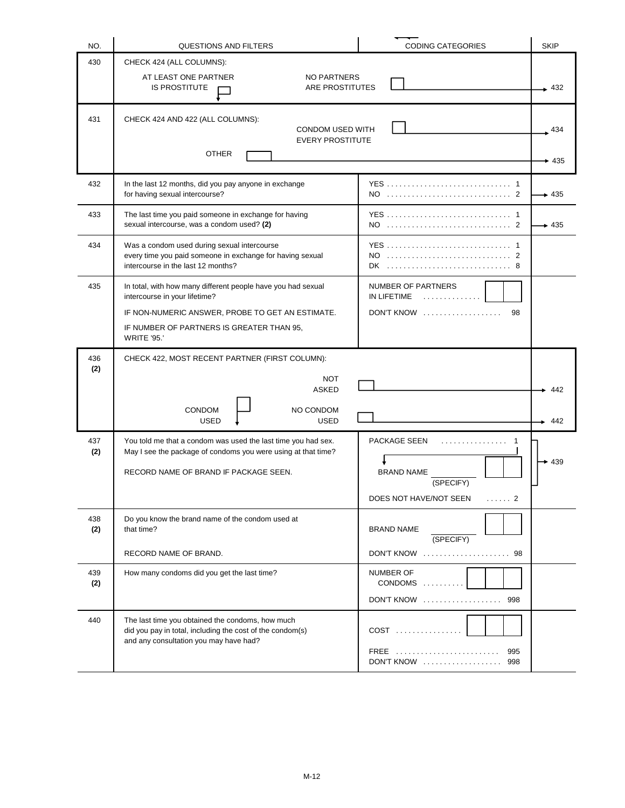| NO.        | QUESTIONS AND FILTERS                                                                                                                                   | <b>CODING CATEGORIES</b>               | <b>SKIP</b>       |
|------------|---------------------------------------------------------------------------------------------------------------------------------------------------------|----------------------------------------|-------------------|
| 430        | CHECK 424 (ALL COLUMNS):                                                                                                                                |                                        |                   |
|            | AT LEAST ONE PARTNER<br><b>NO PARTNERS</b><br><b>IS PROSTITUTE</b><br>ARE PROSTITUTES                                                                   |                                        | .432              |
| 431        | CHECK 424 AND 422 (ALL COLUMNS):<br><b>CONDOM USED WITH</b><br><b>EVERY PROSTITUTE</b>                                                                  |                                        | 434               |
|            | <b>OTHER</b>                                                                                                                                            |                                        | $+435$            |
| 432        | In the last 12 months, did you pay anyone in exchange<br>for having sexual intercourse?                                                                 |                                        | $\rightarrow$ 435 |
| 433        | The last time you paid someone in exchange for having<br>sexual intercourse, was a condom used? (2)                                                     |                                        | $\div 435$        |
| 434        | Was a condom used during sexual intercourse<br>every time you paid someone in exchange for having sexual<br>intercourse in the last 12 months?          |                                        |                   |
| 435        | In total, with how many different people have you had sexual<br>intercourse in your lifetime?                                                           | NUMBER OF PARTNERS<br>IN LIFETIME<br>. |                   |
|            | IF NON-NUMERIC ANSWER, PROBE TO GET AN ESTIMATE.                                                                                                        | $DON'T$ KNOW<br>98                     |                   |
|            | IF NUMBER OF PARTNERS IS GREATER THAN 95,<br><b>WRITE '95.'</b>                                                                                         |                                        |                   |
| 436        | CHECK 422, MOST RECENT PARTNER (FIRST COLUMN):                                                                                                          |                                        |                   |
| (2)        | <b>NOT</b>                                                                                                                                              |                                        |                   |
|            | <b>ASKED</b>                                                                                                                                            |                                        | 442               |
|            | CONDOM<br>NO CONDOM<br><b>USED</b><br><b>USED</b>                                                                                                       |                                        | 442               |
| 437<br>(2) | You told me that a condom was used the last time you had sex.<br>May I see the package of condoms you were using at that time?                          | PACKAGE SEEN<br>.                      |                   |
|            |                                                                                                                                                         |                                        | ▶ 439             |
|            | RECORD NAME OF BRAND IF PACKAGE SEEN.                                                                                                                   | <b>BRAND NAME</b><br>(SPECIFY)         |                   |
|            |                                                                                                                                                         | DOES NOT HAVE/NOT SEEN<br>. 2          |                   |
| 438<br>(2) | Do you know the brand name of the condom used at<br>that time?                                                                                          | <b>BRAND NAME</b>                      |                   |
|            | RECORD NAME OF BRAND.                                                                                                                                   | (SPECIFY)<br>DON'T KNOW  98            |                   |
| 439        | How many condoms did you get the last time?                                                                                                             | NUMBER OF                              |                   |
| (2)        |                                                                                                                                                         | CONDOMS                                |                   |
|            |                                                                                                                                                         | DON'T KNOW  998                        |                   |
| 440        | The last time you obtained the condoms, how much<br>did you pay in total, including the cost of the condom(s)<br>and any consultation you may have had? | $COST$                                 |                   |
|            |                                                                                                                                                         | FREE<br>995<br>DON'T KNOW  998         |                   |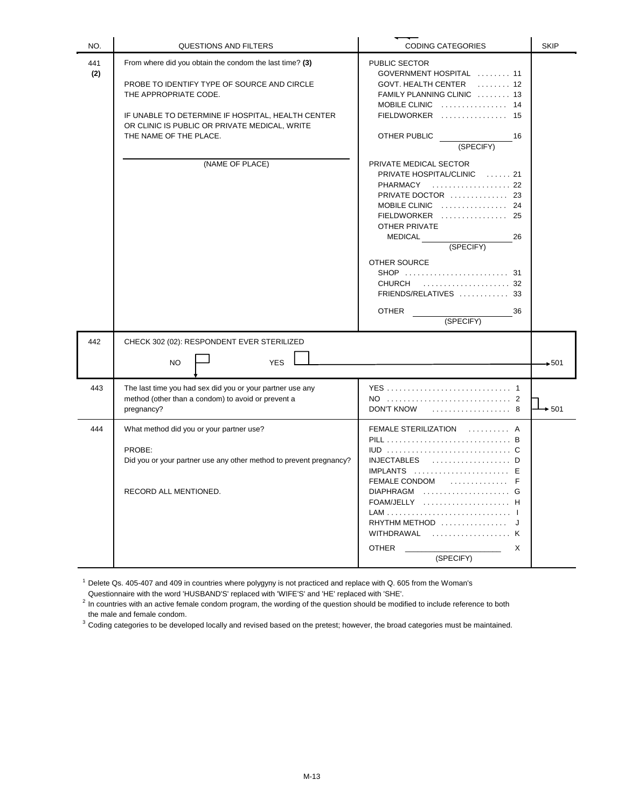| NO.        | QUESTIONS AND FILTERS                                                                                                                                                                                                                                                              | <b>CODING CATEGORIES</b>                                                                                                                                                                                                                                                                                                                                                                                                                                                           | <b>SKIP</b> |
|------------|------------------------------------------------------------------------------------------------------------------------------------------------------------------------------------------------------------------------------------------------------------------------------------|------------------------------------------------------------------------------------------------------------------------------------------------------------------------------------------------------------------------------------------------------------------------------------------------------------------------------------------------------------------------------------------------------------------------------------------------------------------------------------|-------------|
| 441<br>(2) | From where did you obtain the condom the last time? (3)<br>PROBE TO IDENTIFY TYPE OF SOURCE AND CIRCLE<br>THE APPROPRIATE CODE.<br>IF UNABLE TO DETERMINE IF HOSPITAL, HEALTH CENTER<br>OR CLINIC IS PUBLIC OR PRIVATE MEDICAL, WRITE<br>THE NAME OF THE PLACE.<br>(NAME OF PLACE) | PUBLIC SECTOR<br>GOVERNMENT HOSPITAL  11<br>GOVT. HEALTH CENTER  12<br>FAMILY PLANNING CLINIC  13<br>MOBILE CLINIC  14<br>FIELDWORKER  15<br>OTHER PUBLIC<br>16<br>(SPECIFY)<br>PRIVATE MEDICAL SECTOR<br>PRIVATE HOSPITAL/CLINIC  21<br>PHARMACY  22<br>PRIVATE DOCTOR  23<br>MOBILE CLINIC  24<br>FIELDWORKER  25<br>OTHER PRIVATE<br><b>MEDICAL</b><br>26<br>(SPECIFY)<br>OTHER SOURCE<br>SHOP  31<br><b>CHURCH</b><br>FRIENDS/RELATIVES  33<br><b>OTHER</b><br>36<br>(SPECIFY) |             |
| 442        | CHECK 302 (02): RESPONDENT EVER STERILIZED<br><b>YES</b><br>NO.                                                                                                                                                                                                                    |                                                                                                                                                                                                                                                                                                                                                                                                                                                                                    | $\div 501$  |
| 443        | The last time you had sex did you or your partner use any<br>method (other than a condom) to avoid or prevent a<br>pregnancy?                                                                                                                                                      | DON'T KNOW<br>. 8                                                                                                                                                                                                                                                                                                                                                                                                                                                                  | $+501$      |
| 444        | What method did you or your partner use?<br>PROBE:<br>Did you or your partner use any other method to prevent pregnancy?<br>RECORD ALL MENTIONED.                                                                                                                                  | FEMALE STERILIZATION  A<br><b>INJECTABLES</b><br>$IMPLANTS$ ,,,,,,,,,,,,,,,,,,,,,,,,,<br>FEMALE CONDOM  F<br>$FOAM/JELLY$ H<br>RHYTHM METHOD  J<br>$WITHDRAWAL$ $K$<br><b>OTHER</b><br>X<br>(SPECIFY)                                                                                                                                                                                                                                                                              |             |

 $1$  Delete Qs. 405-407 and 409 in countries where polygyny is not practiced and replace with Q. 605 from the Woman's Questionnaire with the word 'HUSBAND'S' replaced with 'WIFE'S' and 'HE' replaced with 'SHE'.

 $^2$  In countries with an active female condom program, the wording of the question should be modified to include reference to both the male and female condom.

<sup>3</sup> Coding categories to be developed locally and revised based on the pretest; however, the broad categories must be maintained.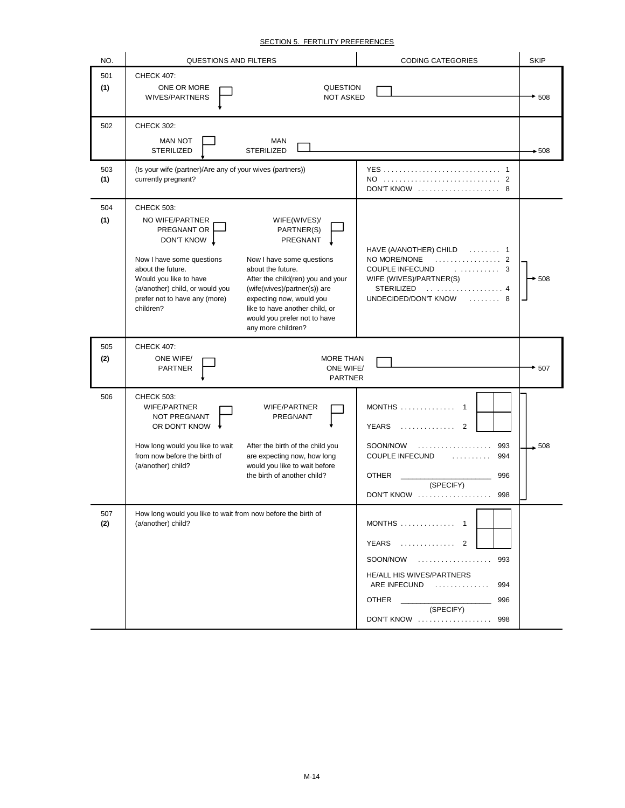## SECTION 5. FERTILITY PREFERENCES

| NO.        | QUESTIONS AND FILTERS                                                                                                                                                                                                            |                                                                                                                                                                                                                                                                                   | <b>CODING CATEGORIES</b>                                                                                                                                                                                                                                                             | <b>SKIP</b> |
|------------|----------------------------------------------------------------------------------------------------------------------------------------------------------------------------------------------------------------------------------|-----------------------------------------------------------------------------------------------------------------------------------------------------------------------------------------------------------------------------------------------------------------------------------|--------------------------------------------------------------------------------------------------------------------------------------------------------------------------------------------------------------------------------------------------------------------------------------|-------------|
| 501<br>(1) | <b>CHECK 407:</b><br>ONE OR MORE<br>WIVES/PARTNERS                                                                                                                                                                               | <b>QUESTION</b><br><b>NOT ASKED</b>                                                                                                                                                                                                                                               |                                                                                                                                                                                                                                                                                      | $*508$      |
| 502        | <b>CHECK 302:</b><br><b>MAN NOT</b><br><b>STERILIZED</b>                                                                                                                                                                         | <b>MAN</b><br><b>STERILIZED</b>                                                                                                                                                                                                                                                   |                                                                                                                                                                                                                                                                                      | $+508$      |
| 503<br>(1) | (Is your wife (partner)/Are any of your wives (partners))<br>currently pregnant?                                                                                                                                                 |                                                                                                                                                                                                                                                                                   | DON'T KNOW $\ldots \ldots \ldots \ldots \ldots$ 8                                                                                                                                                                                                                                    |             |
| 504<br>(1) | <b>CHECK 503:</b><br>NO WIFE/PARTNER<br>PREGNANT OR<br>DON'T KNOW  <br>Now I have some questions<br>about the future.<br>Would you like to have<br>(a/another) child, or would you<br>prefer not to have any (more)<br>children? | WIFE(WIVES)/<br>PARTNER(S)<br>PREGNANT<br>Now I have some questions<br>about the future.<br>After the child(ren) you and your<br>(wife(wives)/partner(s)) are<br>expecting now, would you<br>like to have another child, or<br>would you prefer not to have<br>any more children? | HAVE (A/ANOTHER) CHILD  1<br>NO MORE/NONE<br>. 2<br><b>COUPLE INFECUND</b><br>1.1.1.1.1.1.1.1.1.1<br>3<br>WIFE (WIVES)/PARTNER(S)<br>STERILIZED  4<br>UNDECIDED/DON'T KNOW<br>. 8                                                                                                    | $+508$      |
|            |                                                                                                                                                                                                                                  |                                                                                                                                                                                                                                                                                   |                                                                                                                                                                                                                                                                                      |             |
| 505<br>(2) | <b>CHECK 407:</b><br>ONE WIFE/<br><b>PARTNER</b>                                                                                                                                                                                 | MORE THAN<br>ONE WIFE/<br><b>PARTNER</b>                                                                                                                                                                                                                                          |                                                                                                                                                                                                                                                                                      | $\star$ 507 |
| 506        | <b>CHECK 503:</b><br>WIFE/PARTNER<br><b>NOT PREGNANT</b><br>OR DON'T KNOW<br>How long would you like to wait<br>from now before the birth of<br>(a/another) child?                                                               | WIFE/PARTNER<br>PREGNANT<br>After the birth of the child you<br>are expecting now, how long<br>would you like to wait before<br>the birth of another child?                                                                                                                       | $MONTHS$<br>$\mathbf{1}$<br><b>YEARS</b><br>2<br>.<br>993<br>SOON/NOW<br>COUPLE INFECUND<br>994<br>.<br>996<br><b>OTHER</b><br><u> 1980 - Johann Barn, mars and de Branch Barn, mars and de Branch Barn, mars and de Branch Barn, mars and de Br</u><br>(SPECIFY)<br>DON'T KNOW  998 | 508         |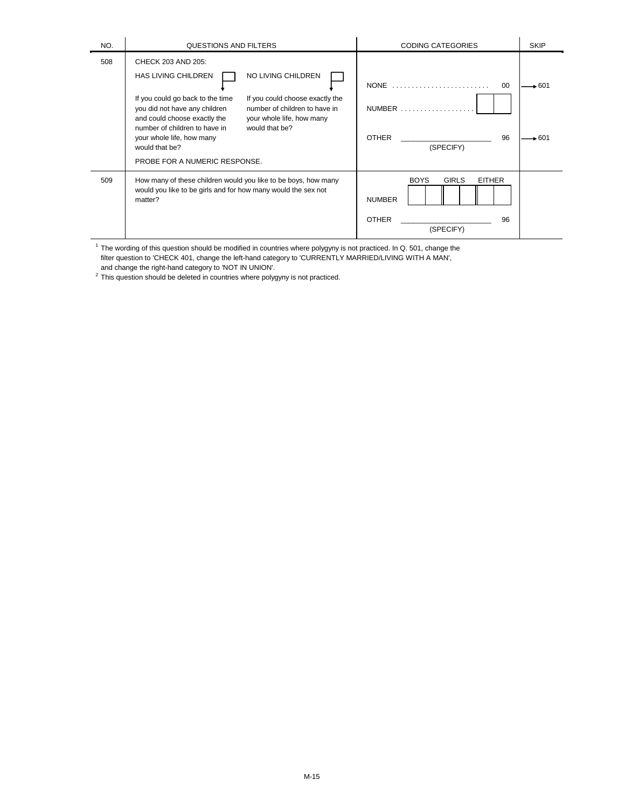| NO. | QUESTIONS AND FILTERS                                                                                                                                                                                                                                                                                                                                                                                           | <b>CODING CATEGORIES</b>                                                                         | <b>SKIP</b>              |
|-----|-----------------------------------------------------------------------------------------------------------------------------------------------------------------------------------------------------------------------------------------------------------------------------------------------------------------------------------------------------------------------------------------------------------------|--------------------------------------------------------------------------------------------------|--------------------------|
| 508 | CHECK 203 AND 205:<br><b>HAS LIVING CHILDREN</b><br>NO LIVING CHILDREN<br>If you could go back to the time<br>If you could choose exactly the<br>you did not have any children<br>number of children to have in<br>and could choose exactly the<br>your whole life, how many<br>number of children to have in<br>would that be?<br>your whole life, how many<br>would that be?<br>PROBE FOR A NUMERIC RESPONSE. | 00<br>$NUMBER$<br>96<br><b>OTHER</b><br>(SPECIFY)                                                | $\div 601$<br>$\div 601$ |
| 509 | How many of these children would you like to be boys, how many<br>would you like to be girls and for how many would the sex not<br>matter?                                                                                                                                                                                                                                                                      | <b>GIRLS</b><br><b>BOYS</b><br><b>EITHER</b><br><b>NUMBER</b><br><b>OTHER</b><br>96<br>(SPECIFY) |                          |

 $1$  The wording of this question should be modified in countries where polygyny is not practiced. In Q. 501, change the filter question to 'CHECK 401, change the left-hand category to 'CURRENTLY MARRIED/LIVING WITH A MAN',

and change the right-hand category to 'NOT IN UNION'.<br><sup>2</sup> This question should be deleted in countries where polygyny is not practiced.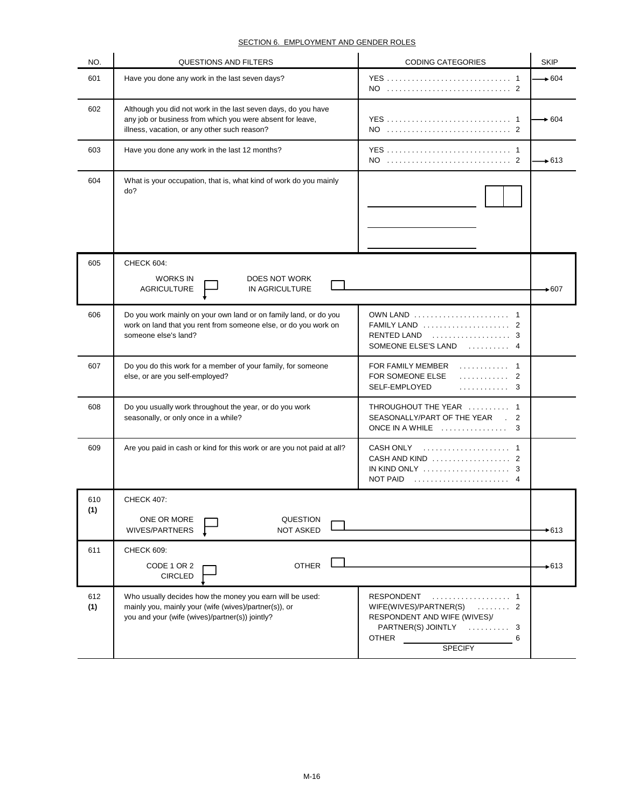## SECTION 6. EMPLOYMENT AND GENDER ROLES

| NO.        | <b>QUESTIONS AND FILTERS</b>                                                                                                                                               | <b>CODING CATEGORIES</b>                                                                                                                       | <b>SKIP</b>       |
|------------|----------------------------------------------------------------------------------------------------------------------------------------------------------------------------|------------------------------------------------------------------------------------------------------------------------------------------------|-------------------|
| 601        | Have you done any work in the last seven days?                                                                                                                             |                                                                                                                                                | $\div 604$        |
| 602        | Although you did not work in the last seven days, do you have<br>any job or business from which you were absent for leave,<br>illness, vacation, or any other such reason? |                                                                                                                                                | $+604$            |
| 603        | Have you done any work in the last 12 months?                                                                                                                              |                                                                                                                                                | $\rightarrow 613$ |
| 604        | What is your occupation, that is, what kind of work do you mainly<br>do?                                                                                                   |                                                                                                                                                |                   |
| 605        | CHECK 604:<br><b>WORKS IN</b><br>DOES NOT WORK<br><b>AGRICULTURE</b><br>IN AGRICULTURE                                                                                     |                                                                                                                                                | $\div 607$        |
| 606        | Do you work mainly on your own land or on family land, or do you<br>work on land that you rent from someone else, or do you work on<br>someone else's land?                | OWN LAND $\ldots \ldots \ldots \ldots \ldots \ldots$<br>FAMILY LAND $\ldots \ldots \ldots \ldots \ldots$<br>SOMEONE ELSE'S LAND<br>.<br>4      |                   |
| 607        | Do you do this work for a member of your family, for someone<br>else, or are you self-employed?                                                                            | FOR FAMILY MEMBER<br>FOR SOMEONE ELSE<br>. 2<br>SELF-EMPLOYED<br>. 3                                                                           |                   |
| 608        | Do you usually work throughout the year, or do you work<br>seasonally, or only once in a while?                                                                            | THROUGHOUT THE YEAR  1<br>SEASONALLY/PART OF THE YEAR . 2                                                                                      |                   |
| 609        | Are you paid in cash or kind for this work or are you not paid at all?                                                                                                     | CASH AND KIND  2<br>IN KIND ONLY<br>3<br><b>NOT PAID</b><br>4                                                                                  |                   |
| 610        | <b>CHECK 407:</b>                                                                                                                                                          |                                                                                                                                                |                   |
| (1)        | ONE OR MORE<br><b>QUESTION</b><br>WIVES/PARTNERS<br><b>NOT ASKED</b>                                                                                                       |                                                                                                                                                | →613              |
| 611        | CHECK 609:<br><b>OTHER</b><br>CODE 1 OR 2<br><b>CIRCLED</b>                                                                                                                |                                                                                                                                                | $+613$            |
| 612<br>(1) | Who usually decides how the money you earn will be used:<br>mainly you, mainly your (wife (wives)/partner(s)), or<br>you and your (wife (wives)/partner(s)) jointly?       | <b>RESPONDENT</b><br>WIFE(WIVES)/PARTNER(S)  2<br>RESPONDENT AND WIFE (WIVES)/<br>PARTNER(S) JOINTLY  3<br><b>OTHER</b><br>6<br><b>SPECIFY</b> |                   |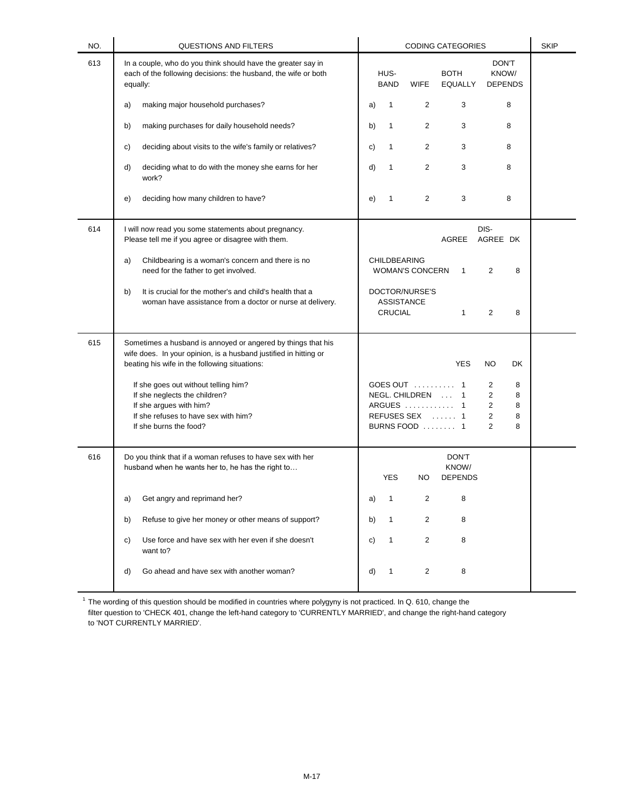| NO. | <b>QUESTIONS AND FILTERS</b>                                                                                                                                                      | <b>CODING CATEGORIES</b>                                                                                | <b>SKIP</b> |
|-----|-----------------------------------------------------------------------------------------------------------------------------------------------------------------------------------|---------------------------------------------------------------------------------------------------------|-------------|
| 613 | In a couple, who do you think should have the greater say in<br>each of the following decisions: the husband, the wife or both<br>equally:                                        | DON'T<br><b>BOTH</b><br>KNOW/<br>HUS-<br><b>BAND</b><br><b>EQUALLY</b><br><b>DEPENDS</b><br><b>WIFE</b> |             |
|     | making major household purchases?<br>a)                                                                                                                                           | 2<br>3<br>8<br>1<br>a)                                                                                  |             |
|     | making purchases for daily household needs?<br>b)                                                                                                                                 | 3<br>b)<br>1<br>2<br>8                                                                                  |             |
|     | deciding about visits to the wife's family or relatives?<br>C)                                                                                                                    | $\mathbf{1}$<br>2<br>3<br>c)<br>8                                                                       |             |
|     | deciding what to do with the money she earns for her<br>d)<br>work?                                                                                                               | d)<br>1<br>2<br>3<br>8                                                                                  |             |
|     | deciding how many children to have?<br>e)                                                                                                                                         | $\overline{c}$<br>3<br>8<br>e)<br>1                                                                     |             |
| 614 | I will now read you some statements about pregnancy.<br>Please tell me if you agree or disagree with them.                                                                        | DIS-<br>AGREE DK<br>AGREE                                                                               |             |
|     | Childbearing is a woman's concern and there is no<br>a)<br>need for the father to get involved.                                                                                   | <b>CHILDBEARING</b><br>8<br><b>WOMAN'S CONCERN</b><br>2<br>$\overline{1}$                               |             |
|     | It is crucial for the mother's and child's health that a<br>b)<br>woman have assistance from a doctor or nurse at delivery.                                                       | DOCTOR/NURSE'S<br><b>ASSISTANCE</b><br>CRUCIAL<br>8<br>$\overline{2}$<br>1                              |             |
| 615 | Sometimes a husband is annoyed or angered by things that his<br>wife does. In your opinion, is a husband justified in hitting or<br>beating his wife in the following situations: | <b>YES</b><br>NO<br>DK                                                                                  |             |
|     | If she goes out without telling him?<br>If she neglects the children?                                                                                                             | GOES OUT  1<br>2<br>8<br>NEGL. CHILDREN  1<br>2<br>8                                                    |             |
|     | If she argues with him?<br>If she refuses to have sex with him?                                                                                                                   | ARGUES  1<br>2<br>8<br>REFUSES SEX  1<br>2<br>8                                                         |             |
|     | If she burns the food?                                                                                                                                                            | BURNS FOOD  1<br>$\overline{2}$<br>8                                                                    |             |
| 616 | Do you think that if a woman refuses to have sex with her<br>husband when he wants her to, he has the right to                                                                    | <b>DON'T</b><br>KNOW/<br><b>YES</b><br><b>NO</b><br><b>DEPENDS</b>                                      |             |
|     | Get angry and reprimand her?<br>a)                                                                                                                                                | 2<br>8<br>1<br>a)                                                                                       |             |
|     | Refuse to give her money or other means of support?<br>b)                                                                                                                         | 1<br>2<br>8<br>b)                                                                                       |             |
|     | Use force and have sex with her even if she doesn't<br>C)<br>want to?                                                                                                             | 2<br>8<br>1<br>C)                                                                                       |             |
|     | Go ahead and have sex with another woman?<br>d)                                                                                                                                   | 2<br>8<br>d)<br>$\mathbf{1}$                                                                            |             |

 $1$  The wording of this question should be modified in countries where polygyny is not practiced. In Q. 610, change the filter question to 'CHECK 401, change the left-hand category to 'CURRENTLY MARRIED', and change the right-hand category to 'NOT CURRENTLY MARRIED'.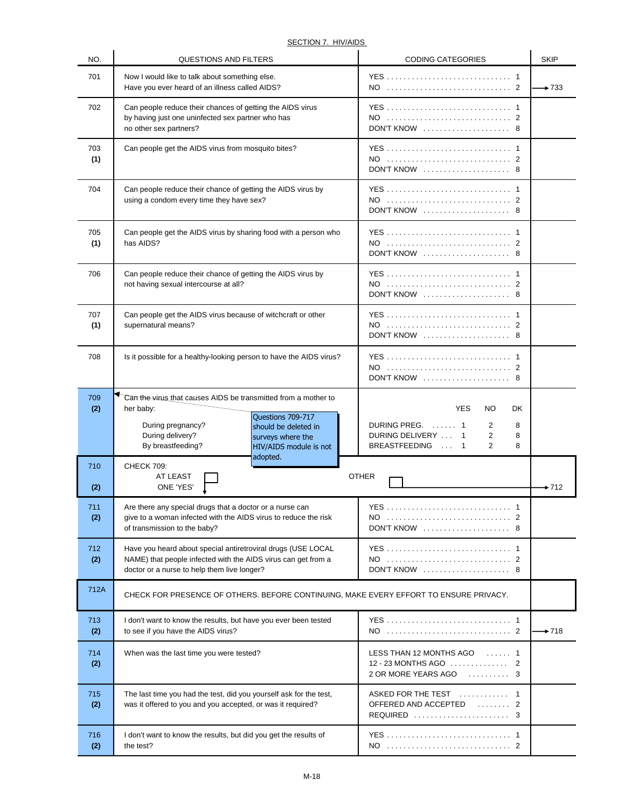SECTION 7. HIV/AIDS

| NO.        | <b>QUESTIONS AND FILTERS</b>                                                                                                                                                                                                          | <b>CODING CATEGORIES</b>                                                                                                                     | <b>SKIP</b> |
|------------|---------------------------------------------------------------------------------------------------------------------------------------------------------------------------------------------------------------------------------------|----------------------------------------------------------------------------------------------------------------------------------------------|-------------|
| 701        | Now I would like to talk about something else.<br>Have you ever heard of an illness called AIDS?                                                                                                                                      | YES  1                                                                                                                                       | $+733$      |
| 702        | Can people reduce their chances of getting the AIDS virus<br>by having just one uninfected sex partner who has<br>no other sex partners?                                                                                              | DON'T KNOW  8                                                                                                                                |             |
| 703<br>(1) | Can people get the AIDS virus from mosquito bites?                                                                                                                                                                                    | NO  2<br>DON'T KNOW  8                                                                                                                       |             |
| 704        | Can people reduce their chance of getting the AIDS virus by<br>using a condom every time they have sex?                                                                                                                               | DON'T KNOW  8                                                                                                                                |             |
| 705<br>(1) | Can people get the AIDS virus by sharing food with a person who<br>has AIDS?                                                                                                                                                          | DON'T KNOW $\ldots \ldots \ldots \ldots \ldots$ 8                                                                                            |             |
| 706        | Can people reduce their chance of getting the AIDS virus by<br>not having sexual intercourse at all?                                                                                                                                  | YES  1<br>NO  2<br>DON'T KNOW  8                                                                                                             |             |
| 707<br>(1) | Can people get the AIDS virus because of witchcraft or other<br>supernatural means?                                                                                                                                                   | DON'T KNOW $\ldots \ldots \ldots \ldots \ldots$ 8                                                                                            |             |
| 708        | Is it possible for a healthy-looking person to have the AIDS virus?                                                                                                                                                                   | $DON'T$ KNOW $\ldots \ldots \ldots \ldots \ldots$                                                                                            |             |
| 709<br>(2) | Can the virus that causes AIDS be transmitted from a mother to<br>her baby:<br>Questions 709-717<br>During pregnancy?<br>should be deleted in<br>During delivery?<br>surveys where the<br>By breastfeeding?<br>HIV/AIDS module is not | <b>YES</b><br><b>NO</b><br><b>DK</b><br>DURING PREG.  1<br>2<br>8<br>DURING DELIVERY  1<br>2<br>8<br>BREASTFEEDING  1<br>$\overline{2}$<br>8 |             |
| 710<br>(2) | adopted.<br><b>CHECK 709:</b><br><b>AT LEAST</b><br>ONE 'YES'                                                                                                                                                                         | <b>OTHER</b>                                                                                                                                 | $\div 712$  |
| 711<br>(2) | Are there any special drugs that a doctor or a nurse can<br>give to a woman infected with the AIDS virus to reduce the risk<br>of transmission to the baby?                                                                           | NO  2<br>DON'T KNOW  8                                                                                                                       |             |
| 712<br>(2) | Have you heard about special antiretroviral drugs (USE LOCAL<br>NAME) that people infected with the AIDS virus can get from a<br>doctor or a nurse to help them live longer?                                                          | DON'T KNOW  8                                                                                                                                |             |
| 712A       | CHECK FOR PRESENCE OF OTHERS. BEFORE CONTINUING, MAKE EVERY EFFORT TO ENSURE PRIVACY.                                                                                                                                                 |                                                                                                                                              |             |
| 713<br>(2) | I don't want to know the results, but have you ever been tested<br>to see if you have the AIDS virus?                                                                                                                                 |                                                                                                                                              | $\div 718$  |
| 714<br>(2) | When was the last time you were tested?                                                                                                                                                                                               | LESS THAN 12 MONTHS AGO<br>. 1<br>12 - 23 MONTHS AGO $\dots\dots\dots\dots$ 2<br>2 OR MORE YEARS AGO<br>. 3                                  |             |
| 715<br>(2) | The last time you had the test, did you yourself ask for the test,<br>was it offered to you and you accepted, or was it required?                                                                                                     | OFFERED AND ACCEPTED<br>. 2<br>REQUIRED  3                                                                                                   |             |
| 716<br>(2) | I don't want to know the results, but did you get the results of<br>the test?                                                                                                                                                         |                                                                                                                                              |             |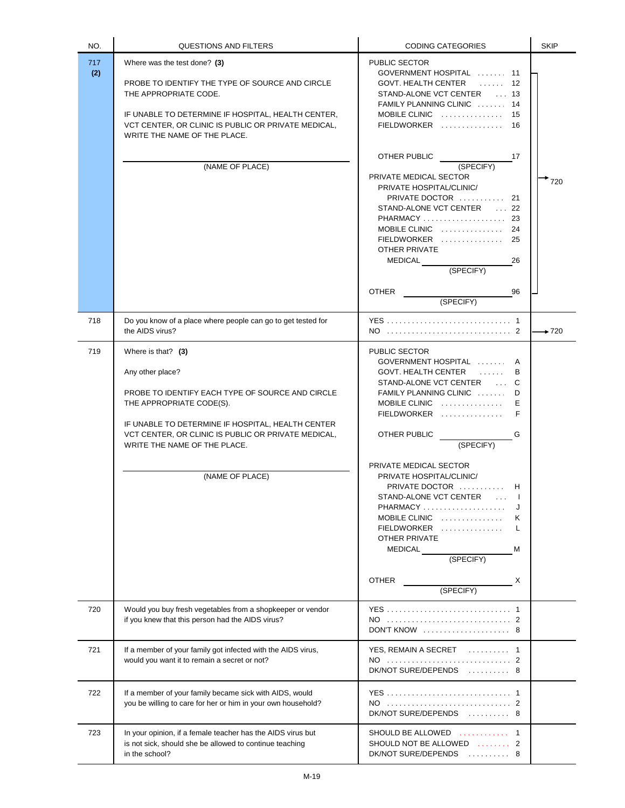| NO.        | <b>QUESTIONS AND FILTERS</b>                                                                                                                                                                                                                                                            | <b>CODING CATEGORIES</b>                                                                                                                                                                                                                                                                                                                                                                                                                                                                                                          | <b>SKIP</b>       |
|------------|-----------------------------------------------------------------------------------------------------------------------------------------------------------------------------------------------------------------------------------------------------------------------------------------|-----------------------------------------------------------------------------------------------------------------------------------------------------------------------------------------------------------------------------------------------------------------------------------------------------------------------------------------------------------------------------------------------------------------------------------------------------------------------------------------------------------------------------------|-------------------|
| 717<br>(2) | Where was the test done? (3)<br>PROBE TO IDENTIFY THE TYPE OF SOURCE AND CIRCLE<br>THE APPROPRIATE CODE.<br>IF UNABLE TO DETERMINE IF HOSPITAL, HEALTH CENTER,<br>VCT CENTER, OR CLINIC IS PUBLIC OR PRIVATE MEDICAL,<br>WRITE THE NAME OF THE PLACE.                                   | PUBLIC SECTOR<br>GOVERNMENT HOSPITAL  11<br>12<br>GOVT. HEALTH CENTER<br>STAND-ALONE VCT CENTER  13<br>FAMILY PLANNING CLINIC  14<br>MOBILE CLINIC $\ldots, \ldots, \ldots, \ldots$<br>15<br>$FIELDWORKER$<br>16                                                                                                                                                                                                                                                                                                                  |                   |
|            | (NAME OF PLACE)                                                                                                                                                                                                                                                                         | 17<br>OTHER PUBLIC<br>(SPECIFY)<br>PRIVATE MEDICAL SECTOR<br><b>PRIVATE HOSPITAL/CLINIC/</b><br>PRIVATE DOCTOR<br>21<br>STAND-ALONE VCT CENTER  22<br>23<br>MOBILE CLINIC $\ldots \ldots \ldots \ldots$<br>24<br>FIELDWORKER  25<br>OTHER PRIVATE<br>MEDICAL<br>26<br>(SPECIFY)                                                                                                                                                                                                                                                   | 720               |
|            |                                                                                                                                                                                                                                                                                         | 96<br><b>OTHER</b><br>(SPECIFY)                                                                                                                                                                                                                                                                                                                                                                                                                                                                                                   |                   |
| 718        | Do you know of a place where people can go to get tested for<br>the AIDS virus?                                                                                                                                                                                                         |                                                                                                                                                                                                                                                                                                                                                                                                                                                                                                                                   | $\rightarrow$ 720 |
| 719        | Where is that? $(3)$<br>Any other place?<br>PROBE TO IDENTIFY EACH TYPE OF SOURCE AND CIRCLE<br>THE APPROPRIATE CODE(S).<br>IF UNABLE TO DETERMINE IF HOSPITAL, HEALTH CENTER<br>VCT CENTER, OR CLINIC IS PUBLIC OR PRIVATE MEDICAL,<br>WRITE THE NAME OF THE PLACE.<br>(NAME OF PLACE) | PUBLIC SECTOR<br>GOVERNMENT HOSPITAL<br>A<br>GOVT. HEALTH CENTER<br>В<br>$\mathsf{C}$<br>STAND-ALONE VCT CENTER<br>FAMILY PLANNING CLINIC<br>D<br>MOBILE CLINIC $\ldots \ldots \ldots \ldots$<br>E<br>F<br>FIELDWORKER<br>OTHER PUBLIC<br>G<br>(SPECIFY)<br>PRIVATE MEDICAL SECTOR<br>PRIVATE HOSPITAL/CLINIC/<br>PRIVATE DOCTOR<br>H<br>STAND-ALONE VCT CENTER<br>T<br>PHARMACY<br>J<br>MOBILE CLINIC $\ldots, \ldots, \ldots, \ldots$<br>Κ<br>L<br>OTHER PRIVATE<br>MEDICAL<br>M<br>(SPECIFY)<br><b>OTHER</b><br>X<br>(SPECIFY) |                   |
| 720        | Would you buy fresh vegetables from a shopkeeper or vendor<br>if you knew that this person had the AIDS virus?                                                                                                                                                                          | DON'T KNOW $\ldots \ldots \ldots \ldots \ldots$ 8                                                                                                                                                                                                                                                                                                                                                                                                                                                                                 |                   |
| 721        | If a member of your family got infected with the AIDS virus,<br>would you want it to remain a secret or not?                                                                                                                                                                            | YES, REMAIN A SECRET  1<br>NO  2<br>DK/NOT SURE/DEPENDS  8                                                                                                                                                                                                                                                                                                                                                                                                                                                                        |                   |
| 722        | If a member of your family became sick with AIDS, would<br>you be willing to care for her or him in your own household?                                                                                                                                                                 | YES  1<br>DK/NOT SURE/DEPENDS  8                                                                                                                                                                                                                                                                                                                                                                                                                                                                                                  |                   |
| 723        | In your opinion, if a female teacher has the AIDS virus but<br>is not sick, should she be allowed to continue teaching<br>in the school?                                                                                                                                                | SHOULD BE ALLOWED<br>$\mathbf{1}$<br>SHOULD NOT BE ALLOWED  2<br>DK/NOT SURE/DEPENDS  8                                                                                                                                                                                                                                                                                                                                                                                                                                           |                   |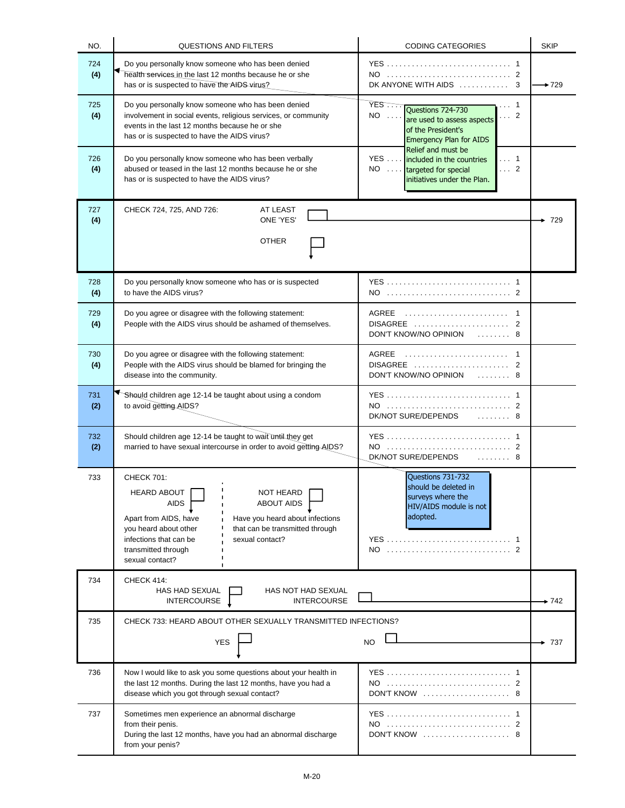| NO.        | QUESTIONS AND FILTERS                                                                                                                                                                                                                                                                                   | <b>CODING CATEGORIES</b>                                                                                                                                                  | <b>SKIP</b>       |
|------------|---------------------------------------------------------------------------------------------------------------------------------------------------------------------------------------------------------------------------------------------------------------------------------------------------------|---------------------------------------------------------------------------------------------------------------------------------------------------------------------------|-------------------|
| 724<br>(4) | Do you personally know someone who has been denied<br>health services in the last 12 months because he or she<br>has or is suspected to have the AIDS virus?                                                                                                                                            | DK ANYONE WITH AIDS  3                                                                                                                                                    | $\rightarrow$ 729 |
| 725<br>(4) | Do you personally know someone who has been denied<br>involvement in social events, religious services, or community<br>events in the last 12 months because he or she<br>has or is suspected to have the AIDS virus?                                                                                   | YES<br>. 1<br>Questions 724-730<br>NO.<br>$\therefore$ 2<br>$\cdot$ $\cdot$ $\cdot$<br>are used to assess aspects<br>of the President's<br><b>Emergency Plan for AIDS</b> |                   |
| 726<br>(4) | Do you personally know someone who has been verbally<br>abused or teased in the last 12 months because he or she<br>has or is suspected to have the AIDS virus?                                                                                                                                         | Relief and must be<br>YES<br>. 1<br>included in the countries<br>$\cdots$ 2<br>NO.<br>targeted for special<br>$\sim 100$ .<br>initiatives under the Plan.                 |                   |
| 727<br>(4) | CHECK 724, 725, AND 726:<br>AT LEAST<br>ONE 'YES'                                                                                                                                                                                                                                                       |                                                                                                                                                                           | 729               |
|            | <b>OTHER</b>                                                                                                                                                                                                                                                                                            |                                                                                                                                                                           |                   |
| 728<br>(4) | Do you personally know someone who has or is suspected<br>to have the AIDS virus?                                                                                                                                                                                                                       | YES  1<br>NO  2                                                                                                                                                           |                   |
| 729<br>(4) | Do you agree or disagree with the following statement:<br>People with the AIDS virus should be ashamed of themselves.                                                                                                                                                                                   | AGREE  1<br>DISAGREE  2<br>DON'T KNOW/NO OPINION  8                                                                                                                       |                   |
| 730<br>(4) | Do you agree or disagree with the following statement:<br>People with the AIDS virus should be blamed for bringing the<br>disease into the community.                                                                                                                                                   | AGREE<br>DISAGREE<br>2<br>DON'T KNOW/NO OPINION<br>. 8                                                                                                                    |                   |
| 731<br>(2) | Should children age 12-14 be taught about using a condom<br>to avoid getting AIDS?                                                                                                                                                                                                                      | DK/NOT SURE/DEPENDS<br>. 8                                                                                                                                                |                   |
| 732<br>(2) | Should children age 12-14 be taught to wait until they get<br>married to have sexual intercourse in order to avoid getting AIDS?                                                                                                                                                                        | YES  1<br>DK/NOT SURE/DEPENDS<br><sub>R</sub>                                                                                                                             |                   |
| 733        | <b>CHECK 701:</b><br><b>HEARD ABOUT</b><br>NOT HEARD<br><b>AIDS</b><br><b>ABOUT AIDS</b><br>Apart from AIDS, have<br>Have you heard about infections<br>you heard about other<br>that can be transmitted through<br>infections that can be<br>sexual contact?<br>transmitted through<br>sexual contact? | Questions 731-732<br>should be deleted in<br>surveys where the<br>HIV/AIDS module is not<br>adopted.<br>YES  1                                                            |                   |
| 734        | CHECK 414:<br><b>HAS HAD SEXUAL</b><br>HAS NOT HAD SEXUAL<br><b>INTERCOURSE</b><br><b>INTERCOURSE</b>                                                                                                                                                                                                   |                                                                                                                                                                           | $\div 742$        |
| 735        | CHECK 733: HEARD ABOUT OTHER SEXUALLY TRANSMITTED INFECTIONS?<br><b>YES</b>                                                                                                                                                                                                                             | <b>NO</b>                                                                                                                                                                 | 737               |
| 736        | Now I would like to ask you some questions about your health in<br>the last 12 months. During the last 12 months, have you had a<br>disease which you got through sexual contact?                                                                                                                       | YES  1<br>NO  2<br>DON'T KNOW $\ldots \ldots \ldots \ldots \ldots$ 8                                                                                                      |                   |
| 737        | Sometimes men experience an abnormal discharge<br>from their penis.<br>During the last 12 months, have you had an abnormal discharge<br>from your penis?                                                                                                                                                | YES  1<br>DON'T KNOW  8                                                                                                                                                   |                   |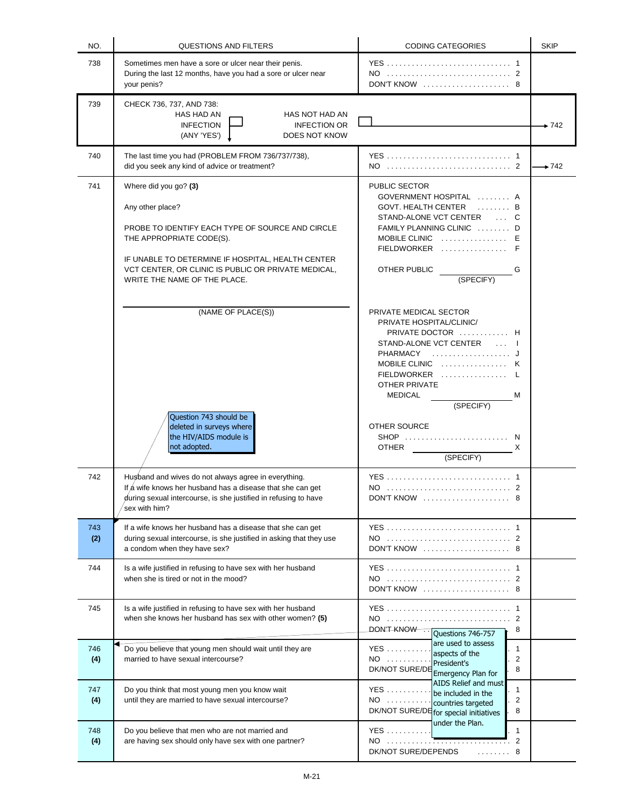| NO.        | <b>QUESTIONS AND FILTERS</b>                                                                                                                                                                                                                                          | <b>CODING CATEGORIES</b>                                                                                                                                                                                                                                             | <b>SKIP</b>       |
|------------|-----------------------------------------------------------------------------------------------------------------------------------------------------------------------------------------------------------------------------------------------------------------------|----------------------------------------------------------------------------------------------------------------------------------------------------------------------------------------------------------------------------------------------------------------------|-------------------|
| 738        | Sometimes men have a sore or ulcer near their penis.<br>During the last 12 months, have you had a sore or ulcer near<br>your penis?                                                                                                                                   | DON'T KNOW $\ldots \ldots \ldots \ldots \ldots$ 8                                                                                                                                                                                                                    |                   |
| 739        | CHECK 736, 737, AND 738:<br>HAS HAD AN<br>HAS NOT HAD AN<br><b>INFECTION</b><br><b>INFECTION OR</b><br>(ANY 'YES')<br>DOES NOT KNOW                                                                                                                                   |                                                                                                                                                                                                                                                                      | $+742$            |
| 740        | The last time you had (PROBLEM FROM 736/737/738),<br>did you seek any kind of advice or treatment?                                                                                                                                                                    |                                                                                                                                                                                                                                                                      | $\rightarrow 742$ |
| 741        | Where did you go? (3)<br>Any other place?<br>PROBE TO IDENTIFY EACH TYPE OF SOURCE AND CIRCLE<br>THE APPROPRIATE CODE(S).<br>IF UNABLE TO DETERMINE IF HOSPITAL, HEALTH CENTER<br>VCT CENTER, OR CLINIC IS PUBLIC OR PRIVATE MEDICAL,<br>WRITE THE NAME OF THE PLACE. | PUBLIC SECTOR<br>GOVERNMENT HOSPITAL  A<br>GOVT. HEALTH CENTER  B<br>$\ldots$ C<br>STAND-ALONE VCT CENTER<br>FAMILY PLANNING CLINIC  D<br>MOBILE CLINIC  E<br>FIELDWORKER  F<br>OTHER PUBLIC<br>G<br>(SPECIFY)                                                       |                   |
|            | (NAME OF PLACE(S))<br>Question 743 should be<br>deleted in surveys where<br>the HIV/AIDS module is<br>not adopted.                                                                                                                                                    | PRIVATE MEDICAL SECTOR<br>PRIVATE HOSPITAL/CLINIC/<br>PRIVATE DOCTOR  H<br>STAND-ALONE VCT CENTER<br>PHARMACY J<br>MOBILE CLINIC  K<br>FIELDWORKER<br>OTHER PRIVATE<br><b>MEDICAL</b><br>м<br>(SPECIFY)<br>OTHER SOURCE<br>SHOP  N<br><b>OTHER</b><br>X<br>(SPECIFY) |                   |
| 742        | Hugband and wives do not always agree in everything.<br>If $\land$ wife knows her husband has a disease that she can get<br>during sexual intercourse, is she justified in refusing to have<br>sex with him?                                                          | NO  2<br>DON'T KNOW  8                                                                                                                                                                                                                                               |                   |
| 743<br>(2) | If a wife knows her husband has a disease that she can get<br>during sexual intercourse, is she justified in asking that they use<br>a condom when they have sex?                                                                                                     | DON'T KNOW  8                                                                                                                                                                                                                                                        |                   |
| 744        | Is a wife justified in refusing to have sex with her husband<br>when she is tired or not in the mood?                                                                                                                                                                 | DON'T KNOW  8                                                                                                                                                                                                                                                        |                   |
| 745        | Is a wife justified in refusing to have sex with her husband<br>when she knows her husband has sex with other women? (5)                                                                                                                                              | 2<br>DON'T KNOW   Questions 746-757<br>8                                                                                                                                                                                                                             |                   |
| 746<br>(4) | Do you believe that young men should wait until they are<br>married to have sexual intercourse?                                                                                                                                                                       | are used to assess<br><b>YES</b><br>$\mathbf{1}$<br>aspects of the<br>NO<br>$\overline{2}$<br>President's<br>DK/NOT SURE/DE Emergency Plan for<br>8                                                                                                                  |                   |
| 747<br>(4) | Do you think that most young men you know wait<br>until they are married to have sexual intercourse?                                                                                                                                                                  | <b>AIDS Relief and must</b><br><b>YES</b><br>1<br>be included in the<br>NO<br>2<br>countries targeted<br>DK/NOT SURE/Dt for special initiatives<br>8                                                                                                                 |                   |
| 748<br>(4) | Do you believe that men who are not married and<br>are having sex should only have sex with one partner?                                                                                                                                                              | under the Plan.<br>1<br>NO <del></del><br>$\overline{2}$<br>DK/NOT SURE/DEPENDS<br>8<br>$\mathcal{L}$ . The set of the $\mathcal{L}$                                                                                                                                 |                   |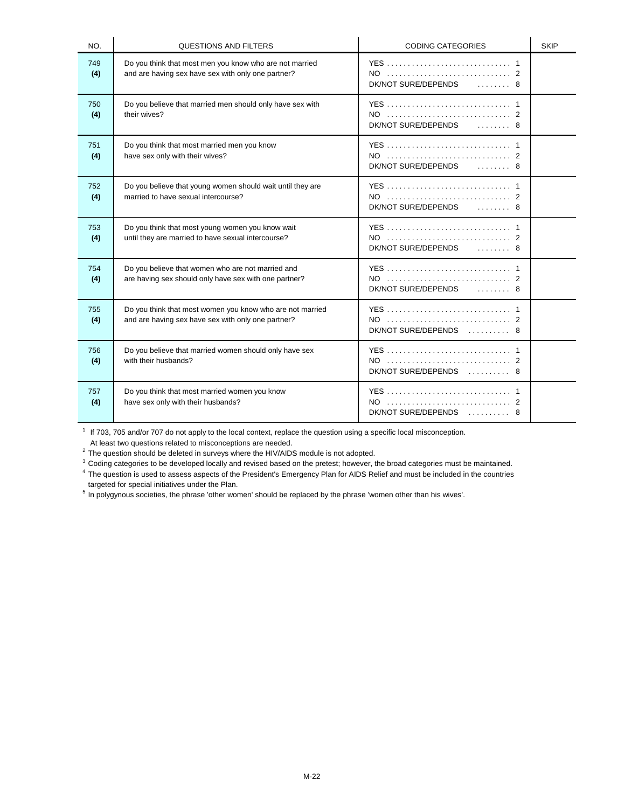| NO.        | <b>QUESTIONS AND FILTERS</b>                                                                                    | <b>CODING CATEGORIES</b>         | <b>SKIP</b> |
|------------|-----------------------------------------------------------------------------------------------------------------|----------------------------------|-------------|
| 749<br>(4) | Do you think that most men you know who are not married<br>and are having sex have sex with only one partner?   | DK/NOT SURE/DEPENDS  8           |             |
| 750<br>(4) | Do you believe that married men should only have sex with<br>their wives?                                       | YES  1<br>DK/NOT SURE/DEPENDS  8 |             |
| 751<br>(4) | Do you think that most married men you know<br>have sex only with their wives?                                  | DK/NOT SURE/DEPENDS  8           |             |
| 752<br>(4) | Do you believe that young women should wait until they are<br>married to have sexual intercourse?               | DK/NOT SURE/DEPENDS  8           |             |
| 753<br>(4) | Do you think that most young women you know wait<br>until they are married to have sexual intercourse?          | DK/NOT SURE/DEPENDS  8           |             |
| 754<br>(4) | Do you believe that women who are not married and<br>are having sex should only have sex with one partner?      | DK/NOT SURE/DEPENDS  8           |             |
| 755<br>(4) | Do you think that most women you know who are not married<br>and are having sex have sex with only one partner? | DK/NOT SURE/DEPENDS  8           |             |
| 756<br>(4) | Do you believe that married women should only have sex<br>with their husbands?                                  | DK/NOT SURE/DEPENDS  8           |             |
| 757<br>(4) | Do you think that most married women you know<br>have sex only with their husbands?                             | DK/NOT SURE/DEPENDS  8           |             |

<sup>1</sup> If 703, 705 and/or 707 do not apply to the local context, replace the question using a specific local misconception.

At least two questions related to misconceptions are needed.

 $2$  The question should be deleted in surveys where the HIV/AIDS module is not adopted.

 $^3$  Coding categories to be developed locally and revised based on the pretest; however, the broad categories must be maintained.<br> $^4$  The question is used to assess aspects of the President's Emergency Plan for AIDS Rel

targeted for special initiatives under the Plan.

<sup>5</sup> In polygynous societies, the phrase 'other women' should be replaced by the phrase 'women other than his wives'.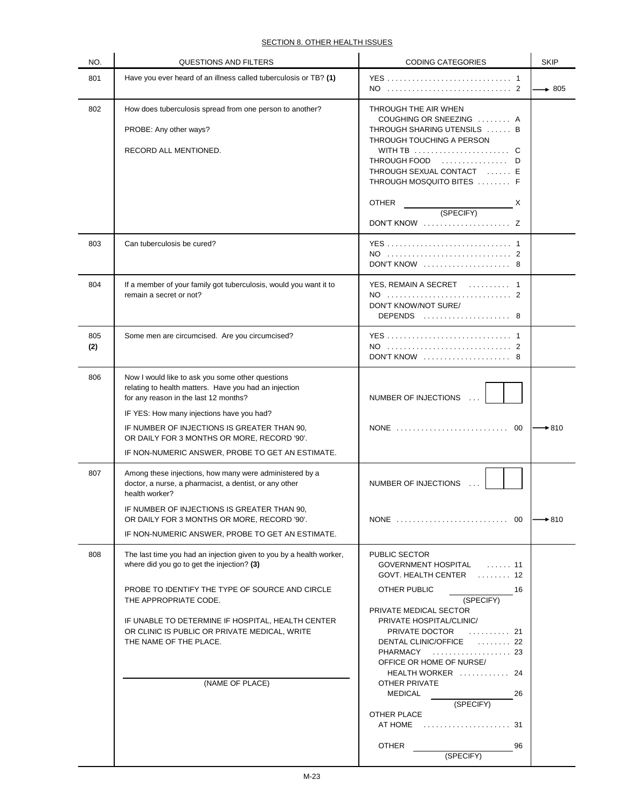# SECTION 8. OTHER HEALTH ISSUES

| NO.        | <b>QUESTIONS AND FILTERS</b>                                                                                                                                                                                                                                                                                                                     | <b>CODING CATEGORIES</b>                                                                                                                                                                                                                                                                                                                                                                               | <b>SKIP</b> |
|------------|--------------------------------------------------------------------------------------------------------------------------------------------------------------------------------------------------------------------------------------------------------------------------------------------------------------------------------------------------|--------------------------------------------------------------------------------------------------------------------------------------------------------------------------------------------------------------------------------------------------------------------------------------------------------------------------------------------------------------------------------------------------------|-------------|
| 801        | Have you ever heard of an illness called tuberculosis or TB? (1)                                                                                                                                                                                                                                                                                 | NO  2                                                                                                                                                                                                                                                                                                                                                                                                  | $+805$      |
| 802        | How does tuberculosis spread from one person to another?<br>PROBE: Any other ways?<br>RECORD ALL MENTIONED.                                                                                                                                                                                                                                      | THROUGH THE AIR WHEN<br>COUGHING OR SNEEZING  A<br>THROUGH SHARING UTENSILS  B<br>THROUGH TOUCHING A PERSON<br>WITH TB  C<br>THROUGH FOOD D<br>THROUGH SEXUAL CONTACT  E<br>THROUGH MOSQUITO BITES  F<br><b>OTHER</b><br>$\mathsf{X}$                                                                                                                                                                  |             |
|            |                                                                                                                                                                                                                                                                                                                                                  | (SPECIFY)<br>DON'T KNOW  Z                                                                                                                                                                                                                                                                                                                                                                             |             |
| 803        | Can tuberculosis be cured?                                                                                                                                                                                                                                                                                                                       | YES  1<br>DON'T KNOW $\ldots \ldots \ldots \ldots \ldots$ 8                                                                                                                                                                                                                                                                                                                                            |             |
| 804        | If a member of your family got tuberculosis, would you want it to<br>remain a secret or not?                                                                                                                                                                                                                                                     | YES, REMAIN A SECRET  1<br>DON'T KNOW/NOT SURE/<br>DEPENDS  8                                                                                                                                                                                                                                                                                                                                          |             |
| 805<br>(2) | Some men are circumcised. Are you circumcised?                                                                                                                                                                                                                                                                                                   | YES  1<br>DON'T KNOW $\ldots \ldots \ldots \ldots \ldots$ 8                                                                                                                                                                                                                                                                                                                                            |             |
| 806        | Now I would like to ask you some other questions<br>relating to health matters. Have you had an injection<br>for any reason in the last 12 months?<br>IF YES: How many injections have you had?<br>IF NUMBER OF INJECTIONS IS GREATER THAN 90,                                                                                                   | NUMBER OF INJECTIONS<br>NONE  00                                                                                                                                                                                                                                                                                                                                                                       | $\div 810$  |
|            | OR DAILY FOR 3 MONTHS OR MORE, RECORD '90'.<br>IF NON-NUMERIC ANSWER, PROBE TO GET AN ESTIMATE.                                                                                                                                                                                                                                                  |                                                                                                                                                                                                                                                                                                                                                                                                        |             |
| 807        | Among these injections, how many were administered by a<br>doctor, a nurse, a pharmacist, a dentist, or any other<br>health worker?                                                                                                                                                                                                              | NUMBER OF INJECTIONS                                                                                                                                                                                                                                                                                                                                                                                   |             |
|            | IF NUMBER OF INJECTIONS IS GREATER THAN 90,<br>OR DAILY FOR 3 MONTHS OR MORE, RECORD '90'.<br>IF NON-NUMERIC ANSWER, PROBE TO GET AN ESTIMATE.                                                                                                                                                                                                   | 00                                                                                                                                                                                                                                                                                                                                                                                                     | $\div 810$  |
| 808        | The last time you had an injection given to you by a health worker,<br>where did you go to get the injection? (3)<br>PROBE TO IDENTIFY THE TYPE OF SOURCE AND CIRCLE<br>THE APPROPRIATE CODE.<br>IF UNABLE TO DETERMINE IF HOSPITAL, HEALTH CENTER<br>OR CLINIC IS PUBLIC OR PRIVATE MEDICAL, WRITE<br>THE NAME OF THE PLACE.<br>(NAME OF PLACE) | PUBLIC SECTOR<br>GOVERNMENT HOSPITAL  11<br>GOVT. HEALTH CENTER  12<br>OTHER PUBLIC<br>16<br>(SPECIFY)<br>PRIVATE MEDICAL SECTOR<br>PRIVATE HOSPITAL/CLINIC/<br>PRIVATE DOCTOR  21<br>DENTAL CLINIC/OFFICE  22<br>PHARMACY  23<br>OFFICE OR HOME OF NURSE/<br>HEALTH WORKER  24<br>OTHER PRIVATE<br><b>MEDICAL</b><br>26<br>(SPECIFY)<br>OTHER PLACE<br>AT HOME  31<br><b>OTHER</b><br>96<br>(SPECIFY) |             |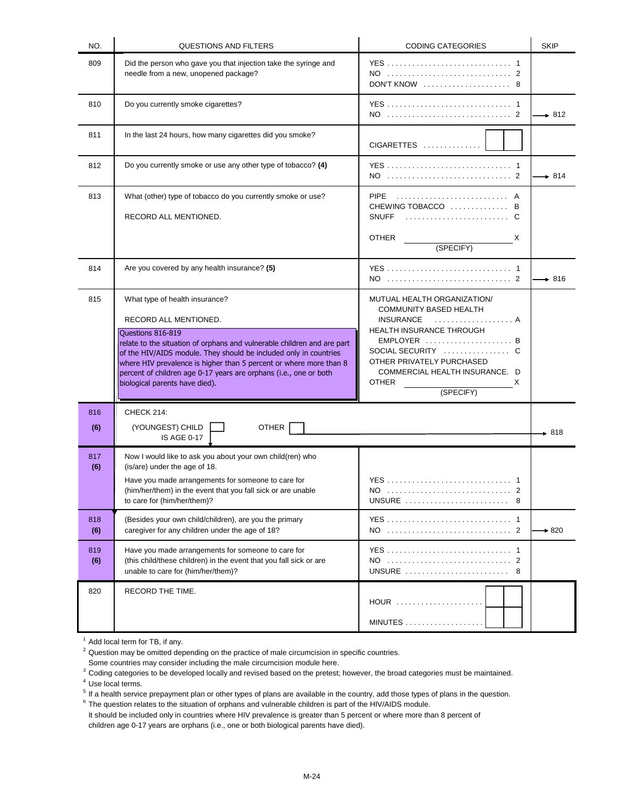| NO.        | QUESTIONS AND FILTERS                                                                                                                                                                                                                                                                                                                                                                                     | <b>CODING CATEGORIES</b>                                                                                                                                                                                                | <b>SKIP</b> |
|------------|-----------------------------------------------------------------------------------------------------------------------------------------------------------------------------------------------------------------------------------------------------------------------------------------------------------------------------------------------------------------------------------------------------------|-------------------------------------------------------------------------------------------------------------------------------------------------------------------------------------------------------------------------|-------------|
| 809        | Did the person who gave you that injection take the syringe and<br>needle from a new, unopened package?                                                                                                                                                                                                                                                                                                   | DON'T KNOW  8                                                                                                                                                                                                           |             |
| 810        | Do you currently smoke cigarettes?                                                                                                                                                                                                                                                                                                                                                                        | YES  1                                                                                                                                                                                                                  | $+812$      |
| 811        | In the last 24 hours, how many cigarettes did you smoke?                                                                                                                                                                                                                                                                                                                                                  | $CIGARETTES$                                                                                                                                                                                                            |             |
| 812        | Do you currently smoke or use any other type of tobacco? (4)                                                                                                                                                                                                                                                                                                                                              |                                                                                                                                                                                                                         | $\div 814$  |
| 813        | What (other) type of tobacco do you currently smoke or use?<br>RECORD ALL MENTIONED.                                                                                                                                                                                                                                                                                                                      | PIPE  A<br>CHEWING TOBACCO  B<br><b>OTHER</b><br>X<br>(SPECIFY)                                                                                                                                                         |             |
| 814        | Are you covered by any health insurance? (5)                                                                                                                                                                                                                                                                                                                                                              |                                                                                                                                                                                                                         | $+816$      |
| 815        | What type of health insurance?<br>RECORD ALL MENTIONED.<br>Questions 816-819<br>relate to the situation of orphans and vulnerable children and are part<br>of the HIV/AIDS module. They should be included only in countries<br>where HIV prevalence is higher than 5 percent or where more than 8<br>percent of children age 0-17 years are orphans (i.e., one or both<br>biological parents have died). | MUTUAL HEALTH ORGANIZATION/<br>COMMUNITY BASED HEALTH<br>HEALTH INSURANCE THROUGH<br>EMPLOYER  B<br>SOCIAL SECURITY  C<br>OTHER PRIVATELY PURCHASED<br>COMMERCIAL HEALTH INSURANCE. D<br><b>OTHER</b><br>X<br>(SPECIFY) |             |
| 816        | CHECK 214:                                                                                                                                                                                                                                                                                                                                                                                                |                                                                                                                                                                                                                         |             |
| (6)        | (YOUNGEST) CHILD<br>OTHER<br><b>IS AGE 0-17</b>                                                                                                                                                                                                                                                                                                                                                           |                                                                                                                                                                                                                         | $+818$      |
| 817<br>(6) | Now I would like to ask you about your own child(ren) who<br>(is/are) under the age of 18.<br>Have you made arrangements for someone to care for<br>(him/her/them) in the event that you fall sick or are unable<br>to care for (him/her/them)?                                                                                                                                                           | YES  1<br>UNSURE  8                                                                                                                                                                                                     |             |
| 818<br>(6) | (Besides your own child/children), are you the primary<br>caregiver for any children under the age of 18?                                                                                                                                                                                                                                                                                                 | NO  2                                                                                                                                                                                                                   | $+820$      |
| 819<br>(6) | Have you made arrangements for someone to care for<br>(this child/these children) in the event that you fall sick or are<br>unable to care for (him/her/them)?                                                                                                                                                                                                                                            | UNSURE  8                                                                                                                                                                                                               |             |
| 820        | RECORD THE TIME.                                                                                                                                                                                                                                                                                                                                                                                          | HOUR                                                                                                                                                                                                                    |             |

 $<sup>1</sup>$  Add local term for TB, if any.</sup>

 $2$  Question may be omitted depending on the practice of male circumcision in specific countries.

Some countries may consider including the male circumcision module here.

3 Coding categories to be developed locally and revised based on the pretest; however, the broad categories must be maintained.

<sup>4</sup> Use local terms.

<sup>5</sup> If a health service prepayment plan or other types of plans are available in the country, add those types of plans in the question.

 $6$  The question relates to the situation of orphans and vulnerable children is part of the HIV/AIDS module. It should be included only in countries where HIV prevalence is greater than 5 percent or where more than 8 percent of children age 0-17 years are orphans (i.e., one or both biological parents have died).